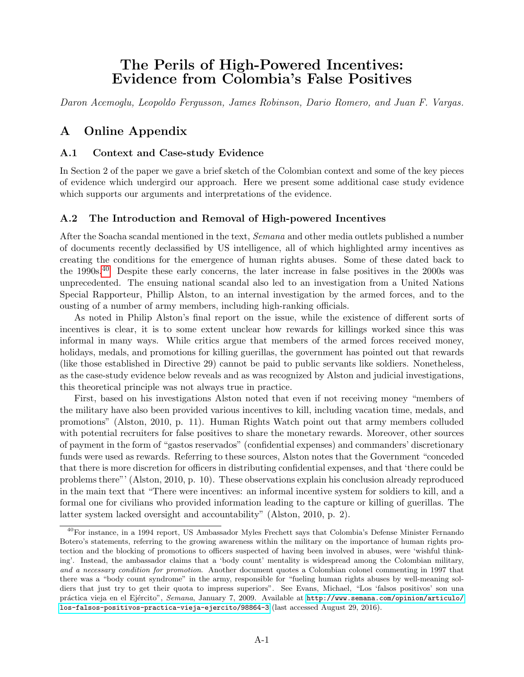# The Perils of High-Powered Incentives: Evidence from Colombia's False Positives

<span id="page-0-0"></span>Daron Acemoglu, Leopoldo Fergusson, James Robinson, Dario Romero, and Juan F. Vargas.

## A Online Appendix

### A.1 Context and Case-study Evidence

In Section 2 of the paper we gave a brief sketch of the Colombian context and some of the key pieces of evidence which undergird our approach. Here we present some additional case study evidence which supports our arguments and interpretations of the evidence.

### A.2 The Introduction and Removal of High-powered Incentives

After the Soacha scandal mentioned in the text, Semana and other media outlets published a number of documents recently declassified by US intelligence, all of which highlighted army incentives as creating the conditions for the emergence of human rights abuses. Some of these dated back to the 1990s.<sup>40</sup> Despite these early concerns, the later increase in false positives in the 2000s was unprecedented. The ensuing national scandal also led to an investigation from a United Nations Special Rapporteur, Phillip Alston, to an internal investigation by the armed forces, and to the ousting of a number of army members, including high-ranking officials.

As noted in Philip Alston's final report on the issue, while the existence of different sorts of incentives is clear, it is to some extent unclear how rewards for killings worked since this was informal in many ways. While critics argue that members of the armed forces received money, holidays, medals, and promotions for killing guerillas, the government has pointed out that rewards (like those established in Directive 29) cannot be paid to public servants like soldiers. Nonetheless, as the case-study evidence below reveals and as was recognized by Alston and judicial investigations, this theoretical principle was not always true in practice.

First, based on his investigations Alston noted that even if not receiving money "members of the military have also been provided various incentives to kill, including vacation time, medals, and promotions" (Alston, 2010, p. 11). Human Rights Watch point out that army members colluded with potential recruiters for false positives to share the monetary rewards. Moreover, other sources of payment in the form of "gastos reservados" (confidential expenses) and commanders' discretionary funds were used as rewards. Referring to these sources, Alston notes that the Government "conceded that there is more discretion for officers in distributing confidential expenses, and that 'there could be problems there"' (Alston, 2010, p. 10). These observations explain his conclusion already reproduced in the main text that "There were incentives: an informal incentive system for soldiers to kill, and a formal one for civilians who provided information leading to the capture or killing of guerillas. The latter system lacked oversight and accountability" (Alston, 2010, p. 2).

<sup>40</sup>For instance, in a 1994 report, US Ambassador Myles Frechett says that Colombia's Defense Minister Fernando Botero's statements, referring to the growing awareness within the military on the importance of human rights protection and the blocking of promotions to officers suspected of having been involved in abuses, were 'wishful thinking'. Instead, the ambassador claims that a 'body count' mentality is widespread among the Colombian military, and a necessary condition for promotion. Another document quotes a Colombian colonel commenting in 1997 that there was a "body count syndrome" in the army, responsible for "fueling human rights abuses by well-meaning soldiers that just try to get their quota to impress superiors". See Evans, Michael, "Los 'falsos positivos' son una práctica vieja en el Ejército", Semana, January 7, 2009. Available at [http://www.semana.com/opinion/articulo/](http://www.semana.com/opinion/articulo/los-falsos-positivos-practica-vieja-ejercito/98864-3) [los-falsos-positivos-practica-vieja-ejercito/98864-3](http://www.semana.com/opinion/articulo/los-falsos-positivos-practica-vieja-ejercito/98864-3) (last accessed August 29, 2016).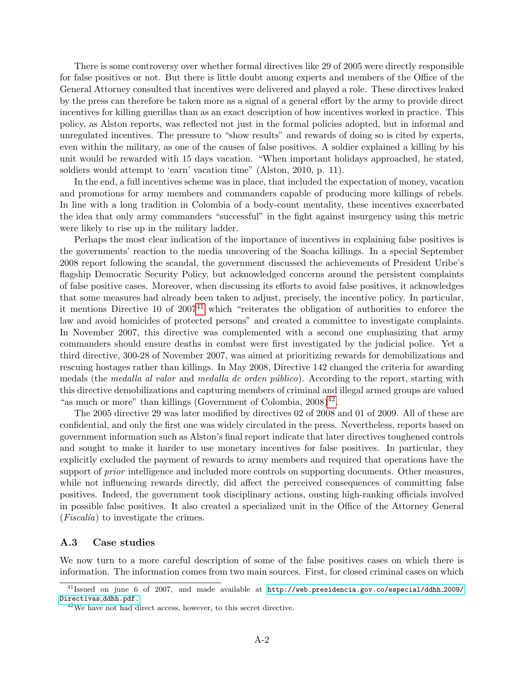There is some controversy over whether formal directives like 29 of 2005 were directly responsible for false positives or not. But there is little doubt among experts and members of the Office of the General Attorney consulted that incentives were delivered and played a role. These directives leaked by the press can therefore be taken more as a signal of a general effort by the army to provide direct incentives for killing guerillas than as an exact description of how incentives worked in practice. This policy, as Alston reports, was reflected not just in the formal policies adopted, but in informal and unregulated incentives. The pressure to "show results" and rewards of doing so is cited by experts, even within the military, as one of the causes of false positives. A soldier explained a killing by his unit would be rewarded with 15 days vacation. "When important holidays approached, he stated, soldiers would attempt to 'earn' vacation time" (Alston, 2010, p. 11).

In the end, a full incentives scheme was in place, that included the expectation of money, vacation and promotions for army members and commanders capable of producing more killings of rebels. In line with a long tradition in Colombia of a body-count mentality, these incentives exacerbated the idea that only army commanders "successful" in the fight against insurgency using this metric were likely to rise up in the military ladder.

Perhaps the most clear indication of the importance of incentives in explaining false positives is the governments' reaction to the media uncovering of the Soacha killings. In a special September 2008 report following the scandal, the government discussed the achievements of President Uribe's flagship Democratic Security Policy, but acknowledged concerns around the persistent complaints of false positive cases. Moreover, when discussing its efforts to avoid false positives, it acknowledges that some measures had already been taken to adjust, precisely, the incentive policy. In particular, it mentions Directive 10 of  $2007<sup>41</sup>$  $2007<sup>41</sup>$  $2007<sup>41</sup>$  which "reiterates the obligation of authorities to enforce the law and avoid homicides of protected persons" and created a committee to investigate complaints. In November 2007, this directive was complemented with a second one emphasizing that army commanders should ensure deaths in combat were first investigated by the judicial police. Yet a third directive, 300-28 of November 2007, was aimed at prioritizing rewards for demobilizations and rescuing hostages rather than killings. In May 2008, Directive 142 changed the criteria for awarding medals (the *medalla al valor* and *medalla de orden público*). According to the report, starting with this directive demobilizations and capturing members of criminal and illegal armed groups are valued "as much or more" than killings (Government of Colombia,  $2008)^{42}$  $2008)^{42}$  $2008)^{42}$ .

The 2005 directive 29 was later modified by directives 02 of 2008 and 01 of 2009. All of these are confidential, and only the first one was widely circulated in the press. Nevertheless, reports based on government information such as Alston's final report indicate that later directives toughened controls and sought to make it harder to use monetary incentives for false positives. In particular, they explicitly excluded the payment of rewards to army members and required that operations have the support of *prior* intelligence and included more controls on supporting documents. Other measures, while not influencing rewards directly, did affect the perceived consequences of committing false positives. Indeed, the government took disciplinary actions, ousting high-ranking officials involved in possible false positives. It also created a specialized unit in the Office of the Attorney General  $(Fiscalia)$  to investigate the crimes.

#### A.3 Case studies

We now turn to a more careful description of some of the false positives cases on which there is information. The information comes from two main sources. First, for closed criminal cases on which

<sup>41</sup>Issued on june 6 of 2007, and made available at [http://web.presidencia.gov.co/especial/ddhh](http://web.presidencia.gov.co/especial/ddhh_2009/Directivas_ddhh.pdf.) 2009/ [Directivas](http://web.presidencia.gov.co/especial/ddhh_2009/Directivas_ddhh.pdf.) ddhh.pdf.

 $42$ We have not had direct access, however, to this secret directive.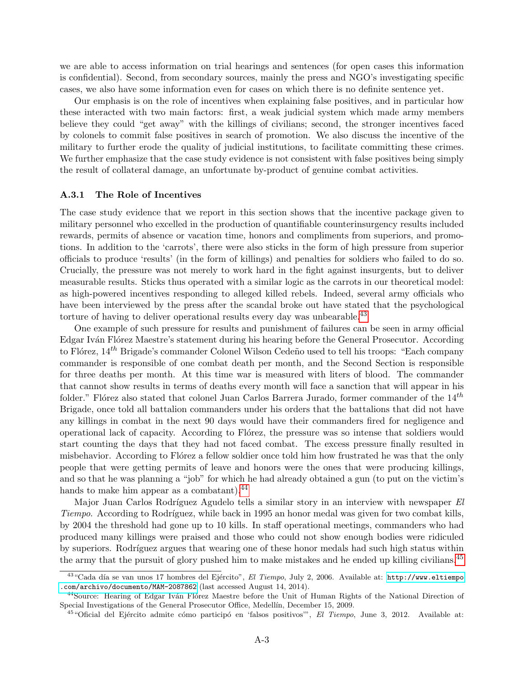we are able to access information on trial hearings and sentences (for open cases this information is confidential). Second, from secondary sources, mainly the press and NGO's investigating specific cases, we also have some information even for cases on which there is no definite sentence yet.

Our emphasis is on the role of incentives when explaining false positives, and in particular how these interacted with two main factors: first, a weak judicial system which made army members believe they could "get away" with the killings of civilians; second, the stronger incentives faced by colonels to commit false positives in search of promotion. We also discuss the incentive of the military to further erode the quality of judicial institutions, to facilitate committing these crimes. We further emphasize that the case study evidence is not consistent with false positives being simply the result of collateral damage, an unfortunate by-product of genuine combat activities.

#### A.3.1 The Role of Incentives

The case study evidence that we report in this section shows that the incentive package given to military personnel who excelled in the production of quantifiable counterinsurgency results included rewards, permits of absence or vacation time, honors and compliments from superiors, and promotions. In addition to the 'carrots', there were also sticks in the form of high pressure from superior officials to produce 'results' (in the form of killings) and penalties for soldiers who failed to do so. Crucially, the pressure was not merely to work hard in the fight against insurgents, but to deliver measurable results. Sticks thus operated with a similar logic as the carrots in our theoretical model: as high-powered incentives responding to alleged killed rebels. Indeed, several army officials who have been interviewed by the press after the scandal broke out have stated that the psychological torture of having to deliver operational results every day was unbearable.<sup>[43](#page-0-0)</sup>

One example of such pressure for results and punishment of failures can be seen in army official Edgar Iván Flórez Maestre's statement during his hearing before the General Prosecutor. According to Flórez,  $14^{th}$  Brigade's commander Colonel Wilson Cedeño used to tell his troops: "Each company commander is responsible of one combat death per month, and the Second Section is responsible for three deaths per month. At this time war is measured with liters of blood. The commander that cannot show results in terms of deaths every month will face a sanction that will appear in his folder." Flórez also stated that colonel Juan Carlos Barrera Jurado, former commander of the  $14<sup>th</sup>$ Brigade, once told all battalion commanders under his orders that the battalions that did not have any killings in combat in the next 90 days would have their commanders fired for negligence and operational lack of capacity. According to Florez, the pressure was so intense that soldiers would start counting the days that they had not faced combat. The excess pressure finally resulted in misbehavior. According to Flórez a fellow soldier once told him how frustrated he was that the only people that were getting permits of leave and honors were the ones that were producing killings, and so that he was planning a "job" for which he had already obtained a gun (to put on the victim's hands to make him appear as a combatant).<sup>[44](#page-0-0)</sup>

Major Juan Carlos Rodríguez Agudelo tells a similar story in an interview with newspaper El Tiempo. According to Rodríguez, while back in 1995 an honor medal was given for two combat kills, by 2004 the threshold had gone up to 10 kills. In staff operational meetings, commanders who had produced many killings were praised and those who could not show enough bodies were ridiculed by superiors. Rodríguez argues that wearing one of these honor medals had such high status within the army that the pursuit of glory pushed him to make mistakes and he ended up killing civilians.<sup>[45](#page-0-0)</sup>

<sup>&</sup>lt;sup>43</sup>"Cada día se van unos 17 hombres del Ejército", El Tiempo, July 2, 2006. Available at: [http://www.eltiempo](http://www.eltiempo.com/archivo/documento/MAM-2087862) [.com/archivo/documento/MAM-2087862](http://www.eltiempo.com/archivo/documento/MAM-2087862) (last accessed August 14, 2014).

<sup>&</sup>lt;sup>44</sup>Source: Hearing of Edgar Iván Flórez Maestre before the Unit of Human Rights of the National Direction of Special Investigations of the General Prosecutor Office, Medellín, December 15, 2009.

<sup>&</sup>lt;sup>45</sup> "Oficial del Ejército admite cómo participó en 'falsos positivos'", El Tiempo, June 3, 2012. Available at: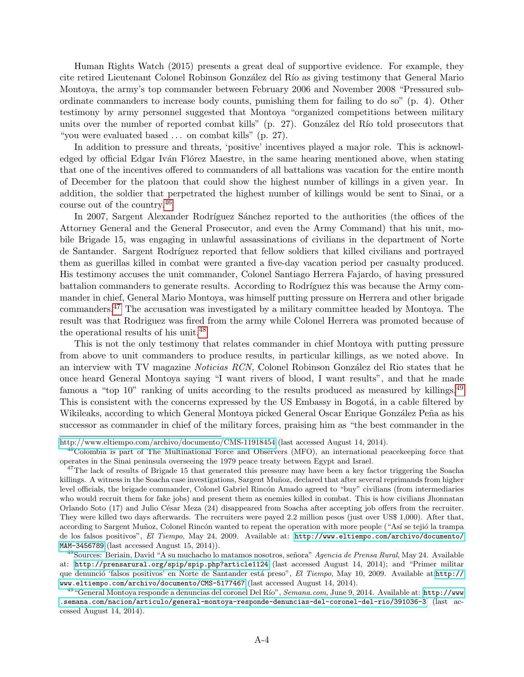Human Rights Watch (2015) presents a great deal of supportive evidence. For example, they cite retired Lieutenant Colonel Robinson González del Río as giving testimony that General Mario Montoya, the army's top commander between February 2006 and November 2008 "Pressured subordinate commanders to increase body counts, punishing them for failing to do so" (p. 4). Other testimony by army personnel suggested that Montoya "organized competitions between military units over the number of reported combat kills"  $(p. 27)$ . González del Río told prosecutors that "you were evaluated based . . . on combat kills" (p. 27).

In addition to pressure and threats, 'positive' incentives played a major role. This is acknowledged by official Edgar Iván Flórez Maestre, in the same hearing mentioned above, when stating that one of the incentives offered to commanders of all battalions was vacation for the entire month of December for the platoon that could show the highest number of killings in a given year. In addition, the soldier that perpetrated the highest number of killings would be sent to Sinai, or a course out of the country.[46](#page-0-0)

In 2007, Sargent Alexander Rodríguez Sánchez reported to the authorities (the offices of the Attorney General and the General Prosecutor, and even the Army Command) that his unit, mobile Brigade 15, was engaging in unlawful assassinations of civilians in the department of Norte de Santander. Sargent Rodríguez reported that fellow soldiers that killed civilians and portrayed them as guerillas killed in combat were granted a five-day vacation period per casualty produced. His testimony accuses the unit commander, Colonel Santiago Herrera Fajardo, of having pressured battalion commanders to generate results. According to Rodríguez this was because the Army commander in chief, General Mario Montoya, was himself putting pressure on Herrera and other brigade commanders.[47](#page-0-0) The accusation was investigated by a military committee headed by Montoya. The result was that Rodriguez was fired from the army while Colonel Herrera was promoted because of the operational results of his unit.[48](#page-0-0)

This is not the only testimony that relates commander in chief Montoya with putting pressure from above to unit commanders to produce results, in particular killings, as we noted above. In an interview with TV magazine *Noticias RCN*, Colonel Robinson González del Rio states that he once heard General Montoya saying "I want rivers of blood, I want results", and that he made famous a "top 10" ranking of units according to the results produced as measured by killings.<sup>[49](#page-0-0)</sup> This is consistent with the concerns expressed by the US Embassy in Bogotá, in a cable filtered by Wikileaks, according to which General Montoya picked General Oscar Enrique González Peña as his successor as commander in chief of the military forces, praising him as "the best commander in the

<http://www.eltiempo.com/archivo/documento/CMS-11918454> (last accessed August 14, 2014).

<sup>&</sup>lt;sup>46</sup>Colombia is part of The Multinational Force and Observers (MFO), an international peacekeeping force that operates in the Sinai peninsula overseeing the 1979 peace treaty between Egypt and Israel.

 $47$ The lack of results of Brigade 15 that generated this pressure may have been a key factor triggering the Soacha killings. A witness in the Soacha case investigations, Sargent Muñoz, declared that after several reprimands from higher level officials, the brigade commander, Colonel Gabriel Rincón Amado agreed to "buy" civilians (from intermediaries who would recruit them for fake jobs) and present them as enemies killed in combat. This is how civilians Jhonnatan Orlando Soto (17) and Julio César Meza (24) disappeared from Soacha after accepting job offers from the recruiter. They were killed two days afterwards. The recruiters were payed 2.2 million pesos (just over US\$ 1,000). After that, according to Sargent Muñoz, Colonel Rincón wanted to repeat the operation with more people ("Así se tejió la trampa de los falsos positivos", El Tiempo, May 24, 2009. Available at: [http://www.eltiempo.com/archivo/documento/](http://www.eltiempo.com/archivo/documento/MAM-3456789) [MAM-3456789](http://www.eltiempo.com/archivo/documento/MAM-3456789) (last accessed August 15, 2014)).

<sup>&</sup>lt;sup>48</sup>Sources: Beriain, David "A su muchacho lo matamos nosotros, señora" Agencia de Prensa Rural, May 24. Available at: <http://prensarural.org/spip/spip.php?article1124> (last accessed August 14, 2014); and "Primer militar que denunció 'falsos positivos' en Norte de Santander está preso", El Tiempo, May 10, 2009. Available at:[http://](http://www.eltiempo.com/archivo/documento/CMS-5177467) [www.eltiempo.com/archivo/documento/CMS-5177467](http://www.eltiempo.com/archivo/documento/CMS-5177467) (last accessed August 14, 2014).

<sup>&</sup>lt;sup>49</sup> "General Montoya responde a denuncias del coronel Del Río", Semana.com, June 9, 2014. Available at: [http://www](http://www.semana.com/nacion/articulo/general-montoya-responde-denuncias-del-coronel-del-rio/391036-3) [.semana.com/nacion/articulo/general-montoya-responde-denuncias-del-coronel-del-rio/391036-3](http://www.semana.com/nacion/articulo/general-montoya-responde-denuncias-del-coronel-del-rio/391036-3) (last accessed August 14, 2014).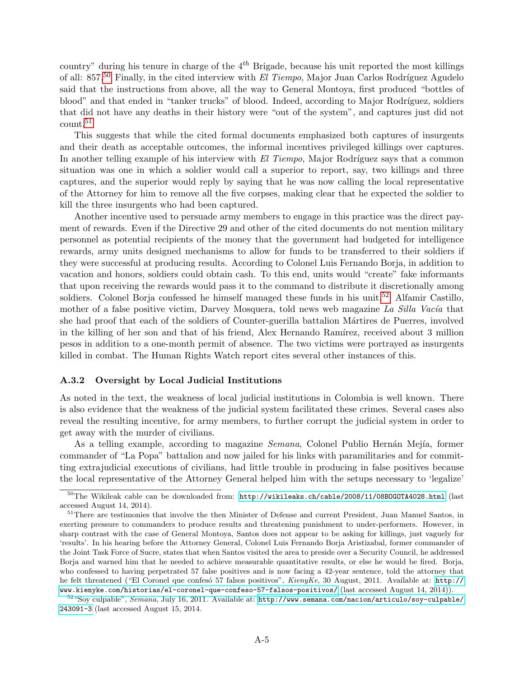country" during his tenure in charge of the  $4<sup>th</sup>$  Brigade, because his unit reported the most killings of all: 857.<sup>[50](#page-0-0)</sup> Finally, in the cited interview with El Tiempo, Major Juan Carlos Rodríguez Agudelo said that the instructions from above, all the way to General Montoya, first produced "bottles of blood" and that ended in "tanker trucks" of blood. Indeed, according to Major Rodríguez, soldiers that did not have any deaths in their history were "out of the system", and captures just did not count.[51](#page-0-0)

This suggests that while the cited formal documents emphasized both captures of insurgents and their death as acceptable outcomes, the informal incentives privileged killings over captures. In another telling example of his interview with El Tiempo, Major Rodríguez says that a common situation was one in which a soldier would call a superior to report, say, two killings and three captures, and the superior would reply by saying that he was now calling the local representative of the Attorney for him to remove all the five corpses, making clear that he expected the soldier to kill the three insurgents who had been captured.

Another incentive used to persuade army members to engage in this practice was the direct payment of rewards. Even if the Directive 29 and other of the cited documents do not mention military personnel as potential recipients of the money that the government had budgeted for intelligence rewards, army units designed mechanisms to allow for funds to be transferred to their soldiers if they were successful at producing results. According to Colonel Luis Fernando Borja, in addition to vacation and honors, soldiers could obtain cash. To this end, units would "create" fake informants that upon receiving the rewards would pass it to the command to distribute it discretionally among soldiers. Colonel Borja confessed he himself managed these funds in his unit.<sup>[52](#page-0-0)</sup> Alfamir Castillo, mother of a false positive victim, Darvey Mosquera, told news web magazine La Silla Vacía that she had proof that each of the soldiers of Counter-guerilla battalion Mártires de Puerres, involved in the killing of her son and that of his friend, Alex Hernando Ramírez, received about 3 million pesos in addition to a one-month permit of absence. The two victims were portrayed as insurgents killed in combat. The Human Rights Watch report cites several other instances of this.

#### A.3.2 Oversight by Local Judicial Institutions

As noted in the text, the weakness of local judicial institutions in Colombia is well known. There is also evidence that the weakness of the judicial system facilitated these crimes. Several cases also reveal the resulting incentive, for army members, to further corrupt the judicial system in order to get away with the murder of civilians.

As a telling example, according to magazine *Semana*, Colonel Publio Hernán Mejía, former commander of "La Popa" battalion and now jailed for his links with paramilitaries and for committing extrajudicial executions of civilians, had little trouble in producing in false positives because the local representative of the Attorney General helped him with the setups necessary to 'legalize'

<sup>50</sup>The Wikileak cable can be downloaded from: <http://wikileaks.ch/cable/2008/11/08BOGOTA4028.html> (last accessed August 14, 2014).

<sup>&</sup>lt;sup>51</sup>There are testimonies that involve the then Minister of Defense and current President, Juan Manuel Santos, in exerting pressure to commanders to produce results and threatening punishment to under-performers. However, in sharp contrast with the case of General Montoya, Santos does not appear to be asking for killings, just vaguely for 'results'. In his hearing before the Attorney General, Colonel Luis Fernando Borja Aristizabal, former commander of the Joint Task Force of Sucre, states that when Santos visited the area to preside over a Security Council, he addressed Borja and warned him that he needed to achieve measurable quantitative results, or else he would be fired. Borja, who confessed to having perpetrated 57 false positives and is now facing a 42-year sentence, told the attorney that he felt threatened ("El Coronel que confesó 57 falsos positivos", KienyKe, 30 August, 2011. Available at: [http://](http://www.kienyke.com/historias/el-coronel-que-confeso-57-falsos-positivos/) [www.kienyke.com/historias/el-coronel-que-confeso-57-falsos-positivos/](http://www.kienyke.com/historias/el-coronel-que-confeso-57-falsos-positivos/) (last accessed August 14, 2014)).

 $52$  "Soy culpable", Semana, July 16, 2011. Available at: [http://www.semana.com/nacion/articulo/soy-culpable/](http://www.semana.com/nacion/articulo/soy-culpable/243091-3) [243091-3](http://www.semana.com/nacion/articulo/soy-culpable/243091-3) (last accessed August 15, 2014.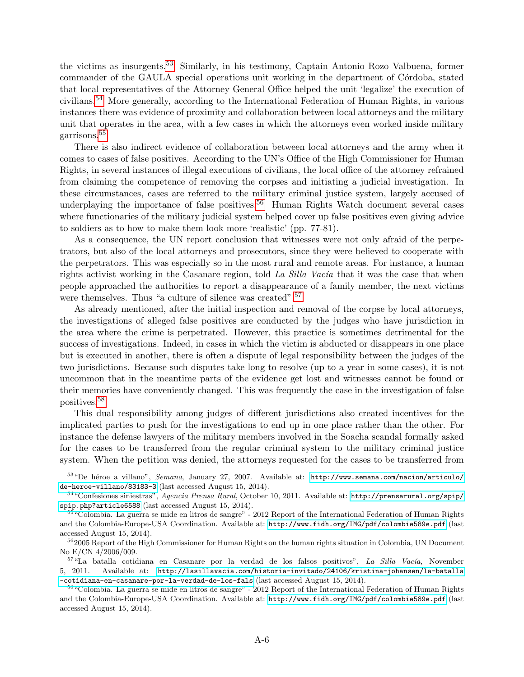the victims as insurgents.[53](#page-0-0) Similarly, in his testimony, Captain Antonio Rozo Valbuena, former commander of the GAULA special operations unit working in the department of Córdoba, stated that local representatives of the Attorney General Office helped the unit 'legalize' the execution of civilians.[54](#page-0-0) More generally, according to the International Federation of Human Rights, in various instances there was evidence of proximity and collaboration between local attorneys and the military unit that operates in the area, with a few cases in which the attorneys even worked inside military garrisons.[55](#page-0-0)

There is also indirect evidence of collaboration between local attorneys and the army when it comes to cases of false positives. According to the UN's Office of the High Commissioner for Human Rights, in several instances of illegal executions of civilians, the local office of the attorney refrained from claiming the competence of removing the corpses and initiating a judicial investigation. In these circumstances, cases are referred to the military criminal justice system, largely accused of underplaying the importance of false positives.<sup>[56](#page-0-0)</sup> Human Rights Watch document several cases where functionaries of the military judicial system helped cover up false positives even giving advice to soldiers as to how to make them look more 'realistic' (pp. 77-81).

As a consequence, the UN report conclusion that witnesses were not only afraid of the perpetrators, but also of the local attorneys and prosecutors, since they were believed to cooperate with the perpetrators. This was especially so in the most rural and remote areas. For instance, a human rights activist working in the Casanare region, told La Silla Vacía that it was the case that when people approached the authorities to report a disappearance of a family member, the next victims were themselves. Thus "a culture of silence was created".<sup>[57](#page-0-0)</sup>

As already mentioned, after the initial inspection and removal of the corpse by local attorneys, the investigations of alleged false positives are conducted by the judges who have jurisdiction in the area where the crime is perpetrated. However, this practice is sometimes detrimental for the success of investigations. Indeed, in cases in which the victim is abducted or disappears in one place but is executed in another, there is often a dispute of legal responsibility between the judges of the two jurisdictions. Because such disputes take long to resolve (up to a year in some cases), it is not uncommon that in the meantime parts of the evidence get lost and witnesses cannot be found or their memories have conveniently changed. This was frequently the case in the investigation of false positives.[58](#page-0-0)

This dual responsibility among judges of different jurisdictions also created incentives for the implicated parties to push for the investigations to end up in one place rather than the other. For instance the defense lawyers of the military members involved in the Soacha scandal formally asked for the cases to be transferred from the regular criminal system to the military criminal justice system. When the petition was denied, the attorneys requested for the cases to be transferred from

 $53$ "De héroe a villano", Semana, January 27, 2007. Available at: [http://www.semana.com/nacion/articulo/](http://www.semana.com/nacion/articulo/de-heroe-villano/83183-3) [de-heroe-villano/83183-3](http://www.semana.com/nacion/articulo/de-heroe-villano/83183-3) (last accessed August 15, 2014).

<sup>54</sup>"Confesiones siniestras", Agencia Prensa Rural, October 10, 2011. Available at: [http://prensarural.org/spip/](http://prensarural.org/spip/spip.php?article6588) [spip.php?article6588](http://prensarural.org/spip/spip.php?article6588) (last accessed August 15, 2014).

 $^{55}$  "Colombia. La guerra se mide en litros de sangre" - 2012 Report of the International Federation of Human Rights and the Colombia-Europe-USA Coordination. Available at: <http://www.fidh.org/IMG/pdf/colombie589e.pdf> (last accessed August 15, 2014).

<sup>&</sup>lt;sup>56</sup>2005 Report of the High Commissioner for Human Rights on the human rights situation in Colombia, UN Document No E/CN 4/2006/009.

<sup>&</sup>lt;sup>57</sup>"La batalla cotidiana en Casanare por la verdad de los falsos positivos", La Silla Vacía, November 5, 2011. Available at: [http://lasillavacia.com/historia-invitado/24106/kristina-johansen/la-batalla](http://lasillavacia.com/historia-invitado/24106/kristina-johansen/la-batalla-cotidiana-en-casanare-por-la-verdad-de-los-fals) [-cotidiana-en-casanare-por-la-verdad-de-los-fals](http://lasillavacia.com/historia-invitado/24106/kristina-johansen/la-batalla-cotidiana-en-casanare-por-la-verdad-de-los-fals) (last accessed August 15, 2014).

<sup>&</sup>lt;sup>58</sup> "Colombia. La guerra se mide en litros de sangre" - 2012 Report of the International Federation of Human Rights and the Colombia-Europe-USA Coordination. Available at: <http://www.fidh.org/IMG/pdf/colombie589e.pdf> (last accessed August 15, 2014).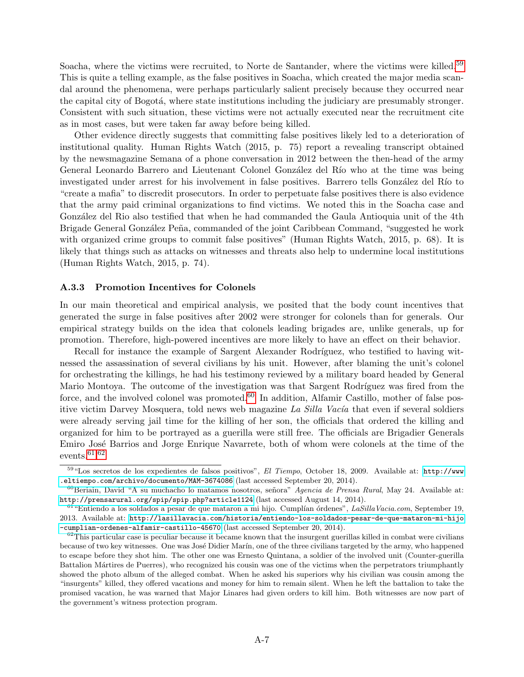Soacha, where the victims were recruited, to Norte de Santander, where the victims were killed.<sup>[59](#page-0-0)</sup> This is quite a telling example, as the false positives in Soacha, which created the major media scandal around the phenomena, were perhaps particularly salient precisely because they occurred near the capital city of Bogotá, where state institutions including the judiciary are presumably stronger. Consistent with such situation, these victims were not actually executed near the recruitment cite as in most cases, but were taken far away before being killed.

Other evidence directly suggests that committing false positives likely led to a deterioration of institutional quality. Human Rights Watch (2015, p. 75) report a revealing transcript obtained by the newsmagazine Semana of a phone conversation in 2012 between the then-head of the army General Leonardo Barrero and Lieutenant Colonel González del Río who at the time was being investigated under arrest for his involvement in false positives. Barrero tells González del Río to "create a mafia" to discredit prosecutors. In order to perpetuate false positives there is also evidence that the army paid criminal organizations to find victims. We noted this in the Soacha case and González del Rio also testified that when he had commanded the Gaula Antioquia unit of the 4th Brigade General González Peña, commanded of the joint Caribbean Command, "suggested he work with organized crime groups to commit false positives" (Human Rights Watch, 2015, p. 68). It is likely that things such as attacks on witnesses and threats also help to undermine local institutions (Human Rights Watch, 2015, p. 74).

#### A.3.3 Promotion Incentives for Colonels

In our main theoretical and empirical analysis, we posited that the body count incentives that generated the surge in false positives after 2002 were stronger for colonels than for generals. Our empirical strategy builds on the idea that colonels leading brigades are, unlike generals, up for promotion. Therefore, high-powered incentives are more likely to have an effect on their behavior.

Recall for instance the example of Sargent Alexander Rodríguez, who testified to having witnessed the assassination of several civilians by his unit. However, after blaming the unit's colonel for orchestrating the killings, he had his testimony reviewed by a military board headed by General Mario Montoya. The outcome of the investigation was that Sargent Rodríguez was fired from the force, and the involved colonel was promoted.<sup>[60](#page-0-0)</sup> In addition, Alfamir Castillo, mother of false positive victim Darvey Mosquera, told news web magazine La Silla Vacía that even if several soldiers were already serving jail time for the killing of her son, the officials that ordered the killing and organized for him to be portrayed as a guerilla were still free. The officials are Brigadier Generals Emiro José Barrios and Jorge Enrique Navarrete, both of whom were colonels at the time of the events. $61,62$  $61,62$  $61,62$ 

<sup>59 &</sup>quot;Los secretos de los expedientes de falsos positivos", El Tiempo, October 18, 2009. Available at: [http://www](http://www.eltiempo.com/archivo/documento/MAM-3674086) [.eltiempo.com/archivo/documento/MAM-3674086](http://www.eltiempo.com/archivo/documento/MAM-3674086) (last accessed September 20, 2014).

 $^{60}$ Beriain, David "A su muchacho lo matamos nosotros, señora" Agencia de Prensa Rural, May 24. Available at: <http://prensarural.org/spip/spip.php?article1124> (last accessed August 14, 2014).

 $61$ "Entiendo a los soldados a pesar de que mataron a mi hijo. Cumplían órdenes", LaSillaVacia.com, September 19, 2013. Available at: [http://lasillavacia.com/historia/entiendo-los-soldados-pesar-de-que-mataron-mi-hijo](http://lasillavacia.com/historia/entiendo-los-soldados-pesar-de-que-mataron-mi-hijo-cumplian-ordenes-alfamir-castillo-45670) [-cumplian-ordenes-alfamir-castillo-45670](http://lasillavacia.com/historia/entiendo-los-soldados-pesar-de-que-mataron-mi-hijo-cumplian-ordenes-alfamir-castillo-45670) (last accessed September 20, 2014).

 $62$ This particular case is peculiar because it became known that the insurgent guerillas killed in combat were civilians because of two key witnesses. One was José Didier Marín, one of the three civilians targeted by the army, who happened to escape before they shot him. The other one was Ernesto Quintana, a soldier of the involved unit (Counter-guerilla Battalion Mártires de Puerres), who recognized his cousin was one of the victims when the perpetrators triumphantly showed the photo album of the alleged combat. When he asked his superiors why his civilian was cousin among the "insurgents" killed, they offered vacations and money for him to remain silent. When he left the battalion to take the promised vacation, he was warned that Major Linares had given orders to kill him. Both witnesses are now part of the government's witness protection program.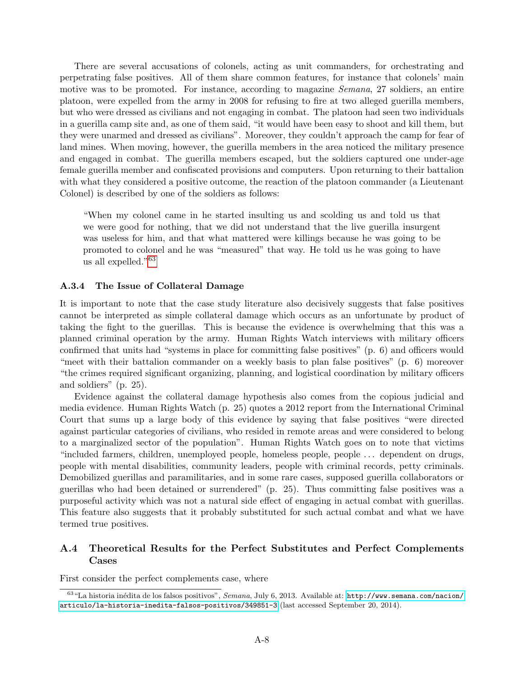There are several accusations of colonels, acting as unit commanders, for orchestrating and perpetrating false positives. All of them share common features, for instance that colonels' main motive was to be promoted. For instance, according to magazine *Semana*, 27 soldiers, an entire platoon, were expelled from the army in 2008 for refusing to fire at two alleged guerilla members, but who were dressed as civilians and not engaging in combat. The platoon had seen two individuals in a guerilla camp site and, as one of them said, "it would have been easy to shoot and kill them, but they were unarmed and dressed as civilians". Moreover, they couldn't approach the camp for fear of land mines. When moving, however, the guerilla members in the area noticed the military presence and engaged in combat. The guerilla members escaped, but the soldiers captured one under-age female guerilla member and confiscated provisions and computers. Upon returning to their battalion with what they considered a positive outcome, the reaction of the platoon commander (a Lieutenant Colonel) is described by one of the soldiers as follows:

"When my colonel came in he started insulting us and scolding us and told us that we were good for nothing, that we did not understand that the live guerilla insurgent was useless for him, and that what mattered were killings because he was going to be promoted to colonel and he was "measured" that way. He told us he was going to have us all expelled."[63](#page-0-0)

### A.3.4 The Issue of Collateral Damage

It is important to note that the case study literature also decisively suggests that false positives cannot be interpreted as simple collateral damage which occurs as an unfortunate by product of taking the fight to the guerillas. This is because the evidence is overwhelming that this was a planned criminal operation by the army. Human Rights Watch interviews with military officers confirmed that units had "systems in place for committing false positives" (p. 6) and officers would "meet with their battalion commander on a weekly basis to plan false positives" (p. 6) moreover "the crimes required significant organizing, planning, and logistical coordination by military officers and soldiers" (p. 25).

Evidence against the collateral damage hypothesis also comes from the copious judicial and media evidence. Human Rights Watch (p. 25) quotes a 2012 report from the International Criminal Court that sums up a large body of this evidence by saying that false positives "were directed against particular categories of civilians, who resided in remote areas and were considered to belong to a marginalized sector of the population". Human Rights Watch goes on to note that victims "included farmers, children, unemployed people, homeless people, people . . . dependent on drugs, people with mental disabilities, community leaders, people with criminal records, petty criminals. Demobilized guerillas and paramilitaries, and in some rare cases, supposed guerilla collaborators or guerillas who had been detained or surrendered" (p. 25). Thus committing false positives was a purposeful activity which was not a natural side effect of engaging in actual combat with guerillas. This feature also suggests that it probably substituted for such actual combat and what we have termed true positives.

### A.4 Theoretical Results for the Perfect Substitutes and Perfect Complements Cases

First consider the perfect complements case, where

 $^{63}$ "La historia inédita de los falsos positivos", Semana, July 6, 2013. Available at: [http://www.semana.com/nacion/](http://www.semana.com/nacion/articulo/la-historia-inedita-falsos-positivos/349851-3) [articulo/la-historia-inedita-falsos-positivos/349851-3](http://www.semana.com/nacion/articulo/la-historia-inedita-falsos-positivos/349851-3) (last accessed September 20, 2014).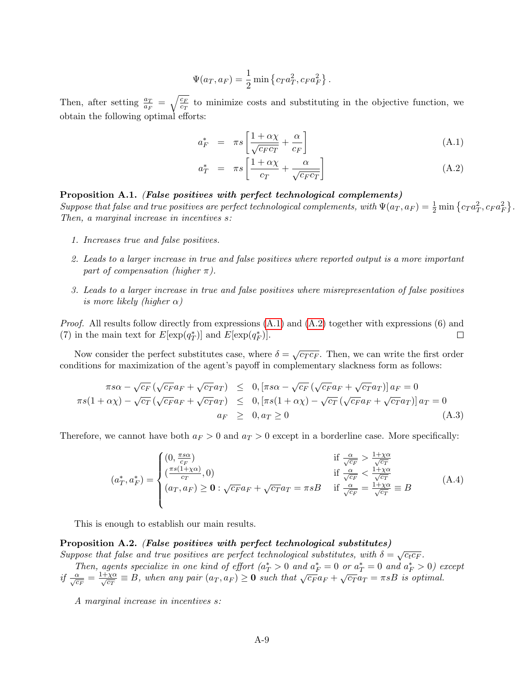$$
\Psi(a_T, a_F) = \frac{1}{2} \min \{ c_T a_T^2, c_F a_F^2 \}.
$$

Then, after setting  $\frac{a_T}{a_F} = \sqrt{\frac{c_F}{c_T}}$  to minimize costs and substituting in the objective function, we obtain the following optimal efforts:

<span id="page-8-0"></span>
$$
a_F^* = \pi s \left[ \frac{1 + \alpha \chi}{\sqrt{c_F c_T}} + \frac{\alpha}{c_F} \right]
$$
\n(A.1)

$$
a_T^* = \pi s \left[ \frac{1 + \alpha \chi}{c_T} + \frac{\alpha}{\sqrt{c_F c_T}} \right]
$$
 (A.2)

### Proposition A.1. (False positives with perfect technological complements)

Suppose that false and true positives are perfect technological complements, with  $\Psi(a_T,a_F) = \frac{1}{2} \min \left\{ c_T a_T^2, c_F a_F^2 \right\}$ . Then, a marginal increase in incentives s:

- 1. Increases true and false positives.
- 2. Leads to a larger increase in true and false positives where reported output is a more important part of compensation (higher  $\pi$ ).
- 3. Leads to a larger increase in true and false positives where misrepresentation of false positives is more likely (higher  $\alpha$ )

*Proof.* All results follow directly from expressions  $(A.1)$  and  $(A.2)$  together with expressions  $(6)$  and (7) in the main text for  $E[\exp(q_T^*)]$  and  $E[\exp(q_F^*)]$ .  $\Box$ 

Now consider the perfect substitutes case, where  $\delta = \sqrt{c_T c_F}$ . Then, we can write the first order conditions for maximization of the agent's payoff in complementary slackness form as follows:

$$
\pi s\alpha - \sqrt{c_F} \left( \sqrt{c_F} a_F + \sqrt{c_T} a_T \right) \leq 0, [\pi s\alpha - \sqrt{c_F} \left( \sqrt{c_F} a_F + \sqrt{c_T} a_T \right)] a_F = 0
$$
  

$$
\pi s(1 + \alpha \chi) - \sqrt{c_T} \left( \sqrt{c_F} a_F + \sqrt{c_T} a_T \right) \leq 0, [\pi s(1 + \alpha \chi) - \sqrt{c_T} \left( \sqrt{c_F} a_F + \sqrt{c_T} a_T \right)] a_T = 0
$$
  

$$
a_F \geq 0, a_T \geq 0
$$
 (A.3)

Therefore, we cannot have both  $a_F > 0$  and  $a_T > 0$  except in a borderline case. More specifically:

<span id="page-8-1"></span>
$$
(a_T^*, a_F^*) = \begin{cases} (0, \frac{\pi s \alpha}{c_F}) & \text{if } \frac{\alpha}{\sqrt{c_F}} > \frac{1 + \chi \alpha}{\sqrt{c_T}} \\ (\frac{\pi s (1 + \chi \alpha)}{c_T}, 0) & \text{if } \frac{\alpha}{\sqrt{c_F}} < \frac{1 + \chi \alpha}{\sqrt{c_T}} \\ (a_T, a_F) \ge \mathbf{0} : \sqrt{c_F} a_F + \sqrt{c_T} a_T = \pi sB & \text{if } \frac{\alpha}{\sqrt{c_F}} = \frac{1 + \chi \alpha}{\sqrt{c_T}} \equiv B \end{cases} (A.4)
$$

This is enough to establish our main results.

#### <span id="page-8-2"></span>Proposition A.2. (False positives with perfect technological substitutes)

Suppose that false and true positives are perfect technological substitutes, with  $\delta = \sqrt{c_t c_F}$ .

Then, agents specialize in one kind of effort  $(a_T^* > 0 \text{ and } a_F^* = 0 \text{ or } a_T^* = 0 \text{ and } a_F^* > 0)$  except if  $\frac{\alpha}{\sqrt{c_F}} = \frac{1+\chi\alpha}{\sqrt{c_T}} \equiv B$ , when any pair  $(a_T, a_F) \ge 0$  such that  $\sqrt{c_F}a_F + \sqrt{c_T}a_T = \pi sB$  is optimal.

A marginal increase in incentives s: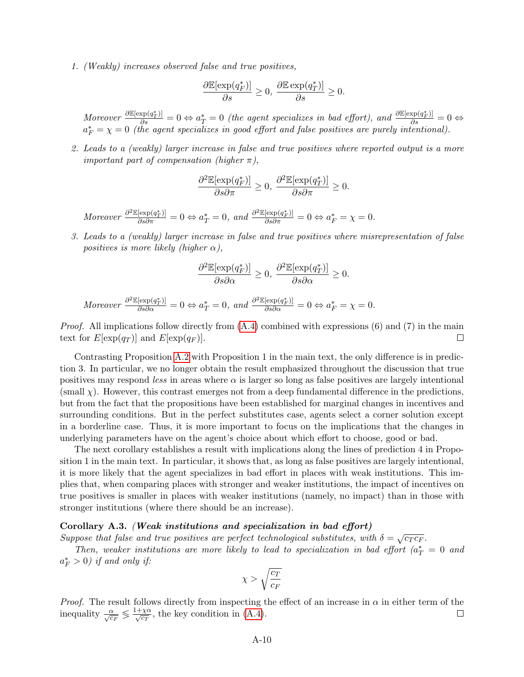1. (Weakly) increases observed false and true positives,

$$
\frac{\partial \mathbb{E}[\exp(q_F^*)]}{\partial s} \ge 0, \ \frac{\partial \mathbb{E}\exp(q_T^*)]}{\partial s} \ge 0.
$$

Moreover  $\frac{\partial \mathbb{E}[\exp(q_T^*)]}{\partial s} = 0 \Leftrightarrow a_T^* = 0$  (the agent specializes in bad effort), and  $\frac{\partial \mathbb{E}[\exp(q_T^*)]}{\partial s} = 0 \Leftrightarrow$  $a_F^* = \chi = 0$  (the agent specializes in good effort and false positives are purely intentional).

2. Leads to a (weakly) larger increase in false and true positives where reported output is a more *important part of compensation (higher*  $\pi$ *),* 

$$
\frac{\partial^2 \mathbb{E}[\exp(q^*_F)]}{\partial s \partial \pi} \ge 0, \ \frac{\partial^2 \mathbb{E}[\exp(q^*_T)]}{\partial s \partial \pi} \ge 0.
$$

Moreover  $\frac{\partial^2 \mathbb{E}[\exp(q_T^*)]}{\partial s \partial \pi} = 0 \Leftrightarrow a_T^* = 0$ , and  $\frac{\partial^2 \mathbb{E}[\exp(q_F^*)]}{\partial s \partial \pi} = 0 \Leftrightarrow a_F^* = \chi = 0$ .

3. Leads to a (weakly) larger increase in false and true positives where misrepresentation of false positives is more likely (higher  $\alpha$ ),

$$
\frac{\partial^2 \mathbb{E}[\exp(q_F^*)]}{\partial s \partial \alpha} \ge 0, \, \frac{\partial^2 \mathbb{E}[\exp(q_T^*)]}{\partial s \partial \alpha} \ge 0.
$$

Moreover 
$$
\frac{\partial^2 \mathbb{E}[\exp(q_T^*)]}{\partial s \partial \alpha} = 0 \Leftrightarrow a_T^* = 0
$$
, and  $\frac{\partial^2 \mathbb{E}[\exp(q_T^*)]}{\partial s \partial \alpha} = 0 \Leftrightarrow a_F^* = \chi = 0$ .

*Proof.* All implications follow directly from  $(A.4)$  combined with expressions  $(6)$  and  $(7)$  in the main text for  $E[\exp(q_T)]$  and  $E[\exp(q_F)].$  $\Box$ 

Contrasting Proposition [A.2](#page-8-2) with Proposition 1 in the main text, the only difference is in prediction 3. In particular, we no longer obtain the result emphasized throughout the discussion that true positives may respond less in areas where  $\alpha$  is larger so long as false positives are largely intentional  $(\text{small } \chi)$ . However, this contrast emerges not from a deep fundamental difference in the predictions, but from the fact that the propositions have been established for marginal changes in incentives and surrounding conditions. But in the perfect substitutes case, agents select a corner solution except in a borderline case. Thus, it is more important to focus on the implications that the changes in underlying parameters have on the agent's choice about which effort to choose, good or bad.

The next corollary establishes a result with implications along the lines of prediction 4 in Proposition 1 in the main text. In particular, it shows that, as long as false positives are largely intentional, it is more likely that the agent specializes in bad effort in places with weak institutions. This implies that, when comparing places with stronger and weaker institutions, the impact of incentives on true positives is smaller in places with weaker institutions (namely, no impact) than in those with stronger institutions (where there should be an increase).

#### Corollary A.3. (Weak institutions and specialization in bad effort)

Suppose that false and true positives are perfect technological substitutes, with  $\delta = \sqrt{c_T c_F}$ .

Then, weaker institutions are more likely to lead to specialization in bad effort  $(a_T^* = 0 \text{ and } t)$  $a_F^* > 0$ ) if and only if:

$$
\chi>\sqrt{\frac{c_T}{c_F}}
$$

*Proof.* The result follows directly from inspecting the effect of an increase in  $\alpha$  in either term of the inequality  $\frac{\alpha}{\sqrt{c_F}} \leq \frac{1+\chi\alpha}{\sqrt{c_T}}$ , the key condition in [\(A.4\)](#page-8-1).  $\Box$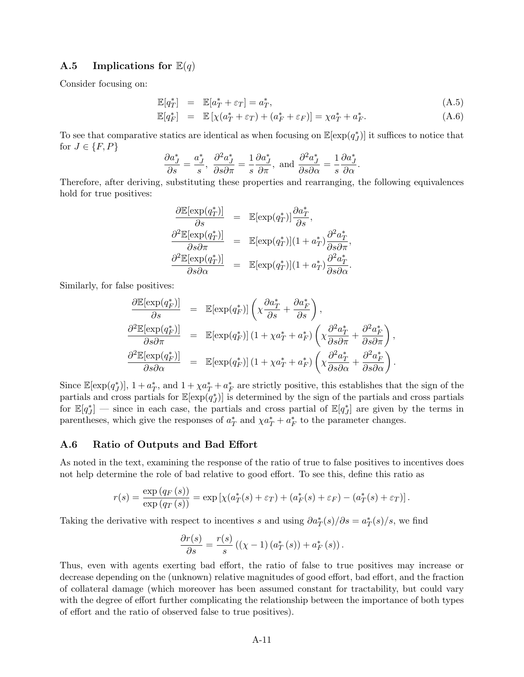### A.5 Implications for  $\mathbb{E}(q)$

Consider focusing on:

$$
\mathbb{E}[q_T^*] = \mathbb{E}[a_T^* + \varepsilon_T] = a_T^*,\tag{A.5}
$$

$$
\mathbb{E}[q_F^*] = \mathbb{E}[\chi(a_T^* + \varepsilon_T) + (a_F^* + \varepsilon_F)] = \chi a_T^* + a_F^*.
$$
\n(A.6)

To see that comparative statics are identical as when focusing on  $\mathbb{E}[\exp(q^*_J)]$  it suffices to notice that for  $J \in \{F, P\}$ 

$$
\frac{\partial a_J^*}{\partial s} = \frac{a_J^*}{s}, \ \frac{\partial^2 a_J^*}{\partial s \partial \pi} = \frac{1}{s} \frac{\partial a_J^*}{\partial \pi}, \text{ and } \frac{\partial^2 a_J^*}{\partial s \partial \alpha} = \frac{1}{s} \frac{\partial a_J^*}{\partial \alpha}.
$$

Therefore, after deriving, substituting these properties and rearranging, the following equivalences hold for true positives:

$$
\frac{\partial \mathbb{E}[\exp(q_T^*)]}{\partial s} = \mathbb{E}[\exp(q_T^*)] \frac{\partial a_T^*}{\partial s}, \n\frac{\partial^2 \mathbb{E}[\exp(q_T^*)]}{\partial s \partial \pi} = \mathbb{E}[\exp(q_T^*)](1 + a_T^*) \frac{\partial^2 a_T^*}{\partial s \partial \pi}, \n\frac{\partial^2 \mathbb{E}[\exp(q_T^*)]}{\partial s \partial \alpha} = \mathbb{E}[\exp(q_T^*)](1 + a_T^*) \frac{\partial^2 a_T^*}{\partial s \partial \alpha}.
$$

Similarly, for false positives:

$$
\frac{\partial \mathbb{E}[\exp(q_F^*)]}{\partial s} = \mathbb{E}[\exp(q_F^*)] \left( \chi \frac{\partial a_T^*}{\partial s} + \frac{\partial a_F^*}{\partial s} \right),
$$
  

$$
\frac{\partial^2 \mathbb{E}[\exp(q_F^*)]}{\partial s \partial \pi} = \mathbb{E}[\exp(q_F^*)] \left( 1 + \chi a_T^* + a_F^* \right) \left( \chi \frac{\partial^2 a_T^*}{\partial s \partial \pi} + \frac{\partial^2 a_F^*}{\partial s \partial \pi} \right),
$$
  

$$
\frac{\partial^2 \mathbb{E}[\exp(q_F^*)]}{\partial s \partial \alpha} = \mathbb{E}[\exp(q_F^*)] \left( 1 + \chi a_T^* + a_F^* \right) \left( \chi \frac{\partial^2 a_T^*}{\partial s \partial \alpha} + \frac{\partial^2 a_F^*}{\partial s \partial \alpha} \right).
$$

Since  $\mathbb{E}[\exp(q^*_{J})], 1 + a^*_{T}$ , and  $1 + \chi a^*_{T} + a^*_{F}$  are strictly positive, this establishes that the sign of the partials and cross partials for  $\mathbb{E}[\exp(q_{J}^{*})]$  is determined by the sign of the partials and cross partials for  $\mathbb{E}[q^*_{J}]$  — since in each case, the partials and cross partial of  $\mathbb{E}[q^*_{J}]$  are given by the terms in parentheses, which give the responses of  $a_T^*$  and  $\chi a_T^* + a_F^*$  to the parameter changes.

#### A.6 Ratio of Outputs and Bad Effort

As noted in the text, examining the response of the ratio of true to false positives to incentives does not help determine the role of bad relative to good effort. To see this, define this ratio as

$$
r(s) = \frac{\exp (q_F(s))}{\exp (q_T(s))} = \exp \left[ \chi(a_T^*(s) + \varepsilon_T) + (a_F^*(s) + \varepsilon_F) - (a_T^*(s) + \varepsilon_T) \right].
$$

Taking the derivative with respect to incentives s and using  $\partial a_T^*(s)/\partial s = a_T^*(s)/s$ , we find

$$
\frac{\partial r(s)}{\partial s} = \frac{r(s)}{s} \left( \left( \chi - 1 \right) \left( a_T^*(s) \right) + a_F^*(s) \right).
$$

Thus, even with agents exerting bad effort, the ratio of false to true positives may increase or decrease depending on the (unknown) relative magnitudes of good effort, bad effort, and the fraction of collateral damage (which moreover has been assumed constant for tractability, but could vary with the degree of effort further complicating the relationship between the importance of both types of effort and the ratio of observed false to true positives).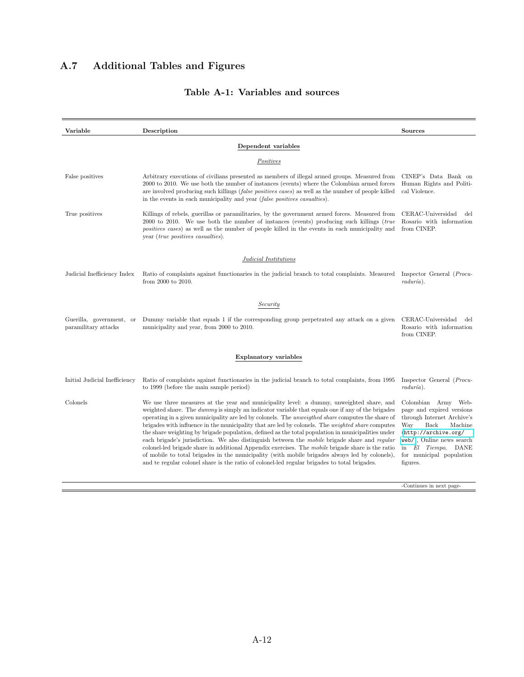### A.7 Additional Tables and Figures

#### **Variable** Description **Description** Sources Dependent variables **Positives** False positives Arbitrary executions of civilians presented as members of illegal armed groups. Measured from 2000 to 2010. We use both the number of instances (events) where the Colombian armed forces are involved producing such killings (false positives cases) as well as the number of people killed in the events in each municipality and year (false positives casualties). CINEP's Data Bank on Human Rights and Political Violence. True positives Killings of rebels, guerillas or paramilitaries, by the government armed forces. Measured from 2000 to 2010. We use both the number of instances (events) producing such killings (true positives cases) as well as the number of people killed in the events in each municipality and year (true positives casualties). CERAC-Universidad del Rosario with information from CINEP. Judicial Institutions Judicial Inefficiency Index Ratio of complaints against functionaries in the judicial branch to total complaints. Measured Inspector General (Procufrom 2000 to 2010.  $radur(a)$ . **Security** Guerilla, government, or Dummy variable that equals 1 if the corresponding group perpetrated any attack on a given CERAC-Universidad del paramilitary attacks municipality and year, from 2000 to 2010. Rosario with information from CINEP. Explanatory variables Initial Judicial Inefficiency Ratio of complaints against functionaries in the judicial branch to total complaints, from 1995 to 1999 (before the main sample period) Inspector General (Procu $radur(a)$ . Colonels We use three measures at the year and municipality level: a dummy, unweighted share, and weighted share. The dummy is simply an indicator variable that equals one if any of the brigades operating in a given municipality are led by colonels. The unweigthed share computes the share of brigades with influence in the municipality that are led by colonels. The weighted share computes the share weighting by brigade population, defined as the total population in municipalities under each brigade's jurisdiction. We also distinguish between the mobile brigade share and regular colonel-led brigade share in additional Appendix exercises. The mobile brigade share is the ratio of mobile to total brigades in the municipality (with mobile brigades always led by colonels), and te regular colonel share is the ratio of colonel-led regular brigades to total brigades. Colombian Army Webpage and expired versions through Internet Archive's Machine ([http://archive.org/](http://archive.org/web/) [web/](http://archive.org/web/)), Online news search in El Tiempo, DANE for municipal population figures. -Continues in next page-

#### Table A-1: Variables and sources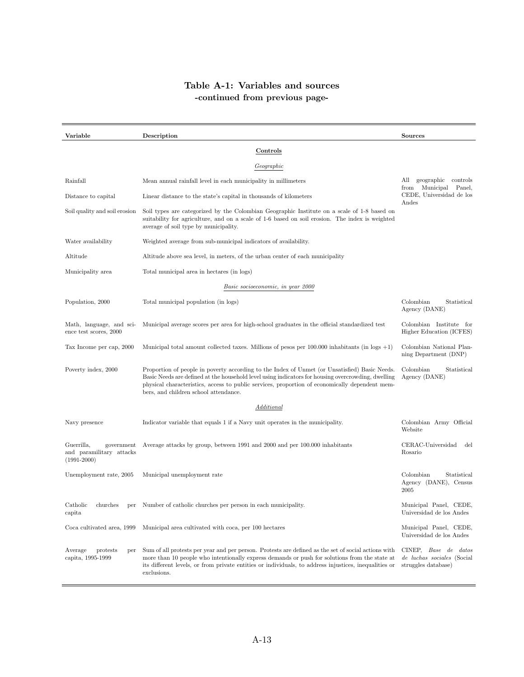## Table A-1: Variables and sources -continued from previous page-

| Variable                                                                | Description                                                                                                                                                                                                                                                                                                                                    | <b>Sources</b>                                                                   |
|-------------------------------------------------------------------------|------------------------------------------------------------------------------------------------------------------------------------------------------------------------------------------------------------------------------------------------------------------------------------------------------------------------------------------------|----------------------------------------------------------------------------------|
|                                                                         | Controls                                                                                                                                                                                                                                                                                                                                       |                                                                                  |
|                                                                         | Geographic                                                                                                                                                                                                                                                                                                                                     |                                                                                  |
| Rainfall                                                                | Mean annual rainfall level in each municipality in millimeters                                                                                                                                                                                                                                                                                 | geographic controls<br>All<br>Municipal Panel,<br>from                           |
| Distance to capital                                                     | Linear distance to the state's capital in thousands of kilometers                                                                                                                                                                                                                                                                              | CEDE, Universidad de los<br>Andes                                                |
| Soil quality and soil erosion                                           | Soil types are categorized by the Colombian Geographic Institute on a scale of 1-8 based on<br>suitability for agriculture, and on a scale of 1-6 based on soil erosion. The index is weighted<br>average of soil type by municipality.                                                                                                        |                                                                                  |
| Water availability                                                      | Weighted average from sub-municipal indicators of availability.                                                                                                                                                                                                                                                                                |                                                                                  |
| Altitude                                                                | Altitude above sea level, in meters, of the urban center of each municipality                                                                                                                                                                                                                                                                  |                                                                                  |
| Municipality area                                                       | Total municipal area in hectares (in logs)                                                                                                                                                                                                                                                                                                     |                                                                                  |
|                                                                         | Basic socioeconomic, in year 2000                                                                                                                                                                                                                                                                                                              |                                                                                  |
| Population, 2000                                                        | Total municipal population (in logs)                                                                                                                                                                                                                                                                                                           | Colombian<br>Statistical<br>Agency (DANE)                                        |
| Math, language, and sci-<br>ence test scores, 2000                      | Municipal average scores per area for high-school graduates in the official standardized test                                                                                                                                                                                                                                                  | Colombian Institute for<br>Higher Education (ICFES)                              |
| Tax Income per cap, 2000                                                | Municipal total amount collected taxes. Millions of pesos per $100.000$ inhabitants (in logs $+1$ )                                                                                                                                                                                                                                            | Colombian National Plan-<br>ning Department (DNP)                                |
| Poverty index, 2000                                                     | Proportion of people in poverty according to the Index of Unmet (or Unsatisfied) Basic Needs.<br>Basic Needs are defined at the household level using indicators for housing overcrowding, dwelling<br>physical characteristics, access to public services, proportion of economically dependent mem-<br>bers, and children school attendance. | Colombian<br>Statistical<br>Agency (DANE)                                        |
|                                                                         | Additional                                                                                                                                                                                                                                                                                                                                     |                                                                                  |
| Navy presence                                                           | Indicator variable that equals 1 if a Navy unit operates in the municipality.                                                                                                                                                                                                                                                                  | Colombian Army Official<br>Website                                               |
| Guerrilla,<br>government<br>and paramilitary attacks<br>$(1991 - 2000)$ | Average attacks by group, between 1991 and 2000 and per 100.000 inhabitants                                                                                                                                                                                                                                                                    | CERAC-Universidad<br>del<br>Rosario                                              |
| Unemployment rate, 2005                                                 | Municipal unemployment rate                                                                                                                                                                                                                                                                                                                    | Colombian<br>Statistical<br>Agency (DANE), Census<br>2005                        |
| Catholic<br>churches<br>capita                                          | per Number of catholic churches per person in each municipality.                                                                                                                                                                                                                                                                               | Municipal Panel, CEDE,<br>Universidad de los Andes                               |
| Coca cultivated area, 1999                                              | Municipal area cultivated with coca, per 100 hectares                                                                                                                                                                                                                                                                                          | Municipal Panel, CEDE,<br>Universidad de los Andes                               |
| Average<br>protests<br>per<br>capita, 1995-1999                         | Sum of all protests per year and per person. Protests are defined as the set of social actions with<br>more than 10 people who intentionally express demands or push for solutions from the state at<br>its different levels, or from private entities or individuals, to address injustices, inequalities or<br>exclusions.                   | CINEP, Base de datos<br><i>de luchas sociales</i> (Social<br>struggles database) |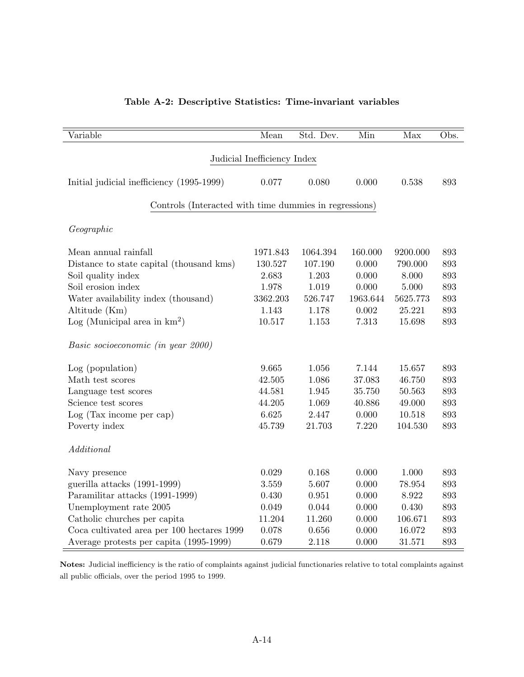| Table A-2: Descriptive Statistics: Time-invariant variables |  |
|-------------------------------------------------------------|--|
|-------------------------------------------------------------|--|

| Variable                                               | Mean                        | Std. Dev. | Min      | Max      | Obs. |
|--------------------------------------------------------|-----------------------------|-----------|----------|----------|------|
|                                                        |                             |           |          |          |      |
|                                                        | Judicial Inefficiency Index |           |          |          |      |
| Initial judicial inefficiency (1995-1999)              | 0.077                       | 0.080     | 0.000    | 0.538    | 893  |
|                                                        |                             |           |          |          |      |
| Controls (Interacted with time dummies in regressions) |                             |           |          |          |      |
| Geographic                                             |                             |           |          |          |      |
|                                                        |                             |           |          |          |      |
| Mean annual rainfall                                   | 1971.843                    | 1064.394  | 160.000  | 9200.000 | 893  |
| Distance to state capital (thousand kms)               | 130.527                     | 107.190   | 0.000    | 790.000  | 893  |
| Soil quality index                                     | 2.683                       | 1.203     | 0.000    | 8.000    | 893  |
| Soil erosion index                                     | 1.978                       | 1.019     | 0.000    | 5.000    | 893  |
| Water availability index (thousand)                    | 3362.203                    | 526.747   | 1963.644 | 5625.773 | 893  |
| Altitude (Km)                                          | 1.143                       | 1.178     | 0.002    | 25.221   | 893  |
| Log (Municipal area in $km^2$ )                        | 10.517                      | 1.153     | 7.313    | 15.698   | 893  |
| Basic socioeconomic (in year 2000)                     |                             |           |          |          |      |
| Log (population)                                       | 9.665                       | 1.056     | 7.144    | 15.657   | 893  |
| Math test scores                                       | 42.505                      | 1.086     | 37.083   | 46.750   | 893  |
| Language test scores                                   | 44.581                      | 1.945     | 35.750   | 50.563   | 893  |
| Science test scores                                    | 44.205                      | 1.069     | 40.886   | 49.000   | 893  |
| Log (Tax income per cap)                               | 6.625                       | 2.447     | 0.000    | 10.518   | 893  |
| Poverty index                                          | 45.739                      | 21.703    | 7.220    | 104.530  | 893  |
| Additional                                             |                             |           |          |          |      |
| Navy presence                                          | 0.029                       | 0.168     | 0.000    | 1.000    | 893  |
| guerilla attacks (1991-1999)                           | 3.559                       | 5.607     | 0.000    | 78.954   | 893  |
| Paramilitar attacks (1991-1999)                        | 0.430                       | 0.951     | 0.000    | 8.922    | 893  |
| Unemployment rate 2005                                 | 0.049                       | 0.044     | 0.000    | 0.430    | 893  |
| Catholic churches per capita                           | 11.204                      | 11.260    | 0.000    | 106.671  | 893  |
| Coca cultivated area per 100 hectares 1999             | 0.078                       | 0.656     | 0.000    | 16.072   | 893  |
| Average protests per capita (1995-1999)                | 0.679                       | 2.118     | 0.000    | 31.571   | 893  |

Notes: Judicial inefficiency is the ratio of complaints against judicial functionaries relative to total complaints against all public officials, over the period 1995 to 1999.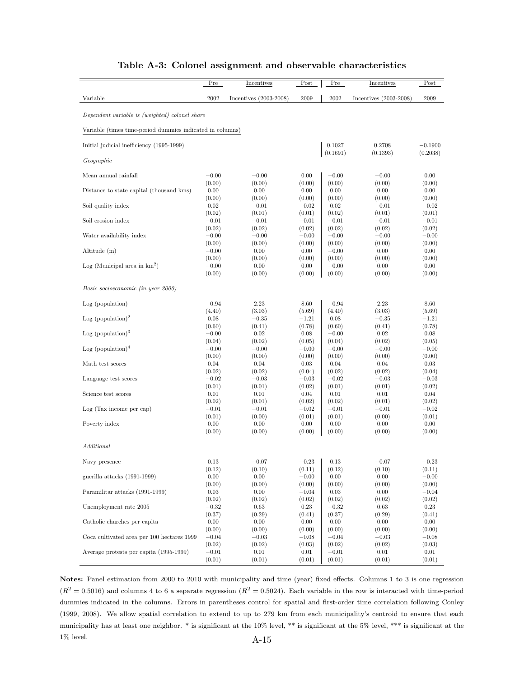|                                                           | Pre     | Incentives               | Post    | Pre                | Incentives               | Post                  |
|-----------------------------------------------------------|---------|--------------------------|---------|--------------------|--------------------------|-----------------------|
| Variable                                                  | 2002    | Incentives $(2003-2008)$ | 2009    | 2002               | Incentives $(2003-2008)$ | 2009                  |
| Dependent variable is (weighted) colonel share            |         |                          |         |                    |                          |                       |
| Variable (times time-period dummies indicated in columns) |         |                          |         |                    |                          |                       |
| Initial judicial inefficiency (1995-1999)                 |         |                          |         | 0.1027<br>(0.1691) | 0.2708<br>(0.1393)       | $-0.1900$<br>(0.2038) |
| Geographic                                                |         |                          |         |                    |                          |                       |
| Mean annual rainfall                                      | $-0.00$ | $-0.00$                  | 0.00    | $-0.00$            | $-0.00$                  | 0.00                  |
| Distance to state capital (thousand kms)                  | (0.00)  | (0.00)                   | (0.00)  | (0.00)             | (0.00)                   | (0.00)                |
|                                                           | 0.00    | 0.00                     | 0.00    | 0.00               | 0.00                     | 0.00                  |
| Soil quality index                                        | (0.00)  | (0.00)                   | (0.00)  | (0.00)             | (0.00)                   | (0.00)                |
|                                                           | 0.02    | $-0.01$                  | $-0.02$ | 0.02               | $-0.01$                  | $-0.02$               |
| Soil erosion index                                        | (0.02)  | (0.01)                   | (0.01)  | (0.02)             | (0.01)                   | (0.01)                |
|                                                           | $-0.01$ | $-0.01$                  | $-0.01$ | $-0.01$            | $-0.01$                  | $-0.01$               |
| Water availability index                                  | (0.02)  | (0.02)                   | (0.02)  | (0.02)             | (0.02)                   | (0.02)                |
|                                                           | $-0.00$ | $-0.00$                  | $-0.00$ | $-0.00$            | $-0.00$                  | $-0.00$               |
| Altitude (m)                                              | (0.00)  | (0.00)                   | (0.00)  | (0.00)             | (0.00)                   | (0.00)                |
|                                                           | $-0.00$ | 0.00                     | 0.00    | $-0.00$            | 0.00                     | 0.00                  |
| $Log (Municipal area in km2)$                             | (0.00)  | (0.00)                   | (0.00)  | (0.00)             | (0.00)                   | (0.00)                |
|                                                           | $-0.00$ | 0.00                     | 0.00    | $-0.00$            | 0.00                     | 0.00                  |
|                                                           | (0.00)  | (0.00)                   | (0.00)  | (0.00)             | (0.00)                   | (0.00)                |
| Basic socioeconomic (in year 2000)                        |         |                          |         |                    |                          |                       |
| Log (population)                                          | $-0.94$ | 2.23                     | 8.60    | $-0.94$            | 2.23                     | 8.60                  |
| Log (population) <sup>2</sup>                             | (4.40)  | (3.03)                   | (5.69)  | (4.40)             | (3.03)                   | (5.69)                |
|                                                           | 0.08    | $-0.35$                  | $-1.21$ | 0.08               | $-0.35$                  | $-1.21$               |
| Log (population) <sup>3</sup>                             | (0.60)  | (0.41)                   | (0.78)  | (0.60)             | (0.41)                   | (0.78)                |
|                                                           | $-0.00$ | 0.02                     | 0.08    | $-0.00$            | 0.02                     | 0.08                  |
| Log (population) $4$                                      | (0.04)  | (0.02)                   | (0.05)  | (0.04)             | (0.02)                   | (0.05)                |
|                                                           | $-0.00$ | $-0.00$                  | $-0.00$ | $-0.00$            | $-0.00$                  | $-0.00$               |
| Math test scores                                          | (0.00)  | (0.00)                   | (0.00)  | (0.00)             | (0.00)                   | (0.00)                |
|                                                           | 0.04    | 0.04                     | 0.03    | 0.04               | 0.04                     | 0.03                  |
| Language test scores                                      | (0.02)  | (0.02)                   | (0.04)  | (0.02)             | (0.02)                   | (0.04)                |
|                                                           | $-0.02$ | $-0.03$                  | $-0.03$ | $-0.02$            | $-0.03$                  | $-0.03$               |
| Science test scores                                       | (0.01)  | (0.01)                   | (0.02)  | (0.01)             | (0.01)                   | (0.02)                |
|                                                           | 0.01    | 0.01                     | 0.04    | 0.01               | 0.01                     | 0.04                  |
| Log(Tax income per cap)                                   | (0.02)  | (0.01)                   | (0.02)  | (0.02)             | (0.01)                   | (0.02)                |
|                                                           | $-0.01$ | $-0.01$                  | $-0.02$ | $^{ -0.01}$        | $-0.01$                  | $-0.02$               |
| Poverty index                                             | (0.01)  | (0.00)                   | (0.01)  | (0.01)             | (0.00)                   | (0.01)                |
|                                                           | 0.00    | 0.00                     | 0.00    | 0.00               | 0.00                     | 0.00                  |
| Additional                                                | (0.00)  | (0.00)                   | (0.00)  | (0.00)             | (0.00)                   | (0.00)                |
| Navy presence                                             | 0.13    | $^{+0.07}$               | $-0.23$ | 0.13               | $-0.07$                  | $-0.23$               |
| guerilla attacks (1991-1999)                              | (0.12)  | (0.10)                   | (0.11)  | (0.12)             | (0.10)                   | (0.11)                |
|                                                           | 0.00    | 0.00                     | $-0.00$ | 0.00               | 0.00                     | $-0.00$               |
| Paramilitar attacks (1991-1999)                           | (0.00)  | (0.00)                   | (0.00)  | (0.00)             | (0.00)                   | (0.00)                |
|                                                           | 0.03    | 0.00                     | $-0.04$ | 0.03               | 0.00                     | $-0.04$               |
| Unemployment rate 2005                                    | (0.02)  | (0.02)                   | (0.02)  | (0.02)             | (0.02)                   | (0.02)                |
|                                                           | $-0.32$ | 0.63                     | 0.23    | $-0.32$            | 0.63                     | 0.23                  |
| Catholic churches per capita                              | (0.37)  | (0.29)                   | (0.41)  | (0.37)             | (0.29)                   | (0.41)                |
|                                                           | 0.00    | 0.00                     | 0.00    | 0.00               | 0.00                     | 0.00                  |
| Coca cultivated area per 100 hectares 1999                | (0.00)  | (0.00)                   | (0.00)  | (0.00)             | (0.00)                   | (0.00)                |
|                                                           | $-0.04$ | $-0.03$                  | $-0.08$ | $-0.04$            | $-0.03$                  | $-0.08$               |
| Average protests per capita (1995-1999)                   | (0.02)  | (0.02)                   | (0.03)  | (0.02)             | (0.02)                   | (0.03)                |
|                                                           | $-0.01$ | 0.01                     | 0.01    | $-0.01$            | 0.01                     | 0.01                  |
|                                                           | (0.01)  | (0.01)                   | (0.01)  | (0.01)             | (0.01)                   | (0.01)                |

### Table A-3: Colonel assignment and observable characteristics

Notes: Panel estimation from 2000 to 2010 with municipality and time (year) fixed effects. Columns 1 to 3 is one regression  $(R^2 = 0.5016)$  and columns 4 to 6 a separate regression  $(R^2 = 0.5024)$ . Each variable in the row is interacted with time-period dummies indicated in the columns. Errors in parentheses control for spatial and first-order time correlation following Conley (1999, 2008). We allow spatial correlation to extend to up to 279 km from each municipality's centroid to ensure that each municipality has at least one neighbor. \* is significant at the 10% level, \*\* is significant at the 5% level, \*\*\* is significant at the  $1\%$  level.  $A-15$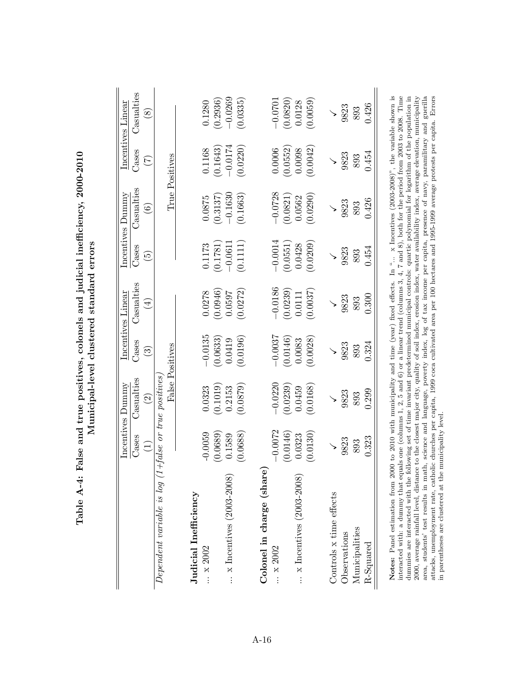|                                    |           | Incentives Dummy            |           | Incentives Linear |           | Incentives Dummy         |                | Incentives Linear |
|------------------------------------|-----------|-----------------------------|-----------|-------------------|-----------|--------------------------|----------------|-------------------|
|                                    | Cases     | Casualties                  | Cases     | Casualties        | Cases     | Casualties               | Cases          | Casualties        |
|                                    | $\equiv$  | $\widehat{\Omega}$          | $\odot$   | $(\pm)$           | ق         | $\widehat{\mathfrak{s}}$ | E              | $\infty$          |
| $Dependent\ variable\ is\ log\ (1$ |           | $+ false$ or true positives |           |                   |           |                          |                |                   |
|                                    |           | False Positives             |           |                   |           |                          | True Positives |                   |
| Judicial Inefficiency              |           |                             |           |                   |           |                          |                |                   |
| x 2002                             | $-0.0059$ | 0.0323                      | $-0.0135$ | 0.0278            | 0.1173    | 0.0875                   | 0.1168         | 0.1280            |
|                                    | (0.0689)  | (0.1019)                    | (0.0633)  | (0.0946)          | (0.1781)  | (0.3137)                 | (0.1643)       | (0.2936)          |
| $\ldots$ x Incentives (2003-2008)  | 0.1589    | 0.2153                      | 0.0419    | 0.0597            | $-0.061$  | $-0.1630$                | $-0.0174$      | $-0.0269$         |
|                                    | 0.0688    | 0.0879                      | 0.0196    | 0.0272            | 0.1111    | (0.1663)                 | 0.0220         | 0.0335            |
| Colonel in charge (share           |           |                             |           |                   |           |                          |                |                   |
| $\therefore$ x 2002                | $-0.0072$ | $-0.0220$                   | $-0.0037$ | $-0.0186$         | $-0.0014$ | $-0.0728$                | 0.0006         | $-0.0701$         |
|                                    | (0.0146)  | 0.0239                      | (0.0146)  | (0.0239)          | (0.0551)  | (0.0821)                 | (0.0552)       | (0.0820)          |
| $\ldots$ x Incentives (2003-2008)  | 0.0323    | 0.0459                      | 0.0083    | 0.0111            | 0.0428    | 0.0562                   | 0.0098         | 0.0128            |
|                                    | (0.0130)  | 0.0168                      | 0.0028    | 0.0037            | 0.0209    | (0.0290)                 | 0.0042         | (0.0059)          |
| Controls x time effects            |           |                             |           |                   |           |                          |                |                   |
| Observations                       | 9823      | 9823                        | 9823      | 9823              | 9823      | 9823                     | 9823           | 9823              |
| Municipalities                     | 893       | 893                         | 893       | 893               | 893       | 893                      | 893            | 893               |
| R-Squared                          | 0.323     | 0.299                       | 0.324     | 0.300             | 0.454     | 0.426                    | 0.454          | 0.426             |

Table A-4: False and true positives, colonels and judicial inefficiency, 2000-2010 Table A-4: False and true positives, colonels and judicial inefficiency, 2000-2010 Municipal-level clustered standard errors Municipal-level clustered standard errors

Notes: Panel estimation from 2000 to 2010 with municipality and time (year) fixed effects. In "... x Incentives (2003-2008)", the variable shown is interacted with: a dummy that equals one (columns 1, 2, 5 and 6) or a lin Notes: Panel estimation from 2000 to 2010 with municipality and time (year) fixed effects. In "... x Incentives (2003-2003)", the variable shown is interacted with: a dummy that equals one (columns 1, 2, 5 and 6) or a linear trend (columns 3, 4, 7 and 8), both for the period from 2003 to 2008. Time dummies are interacted with the following set of time invariant predetermined municipal controls: quartic polynomial for logarithm of the population in 2000, average rainfall level, distance to the closest major city, quality of soil index, erosion index, water availability index, average elevation, municipality area, students' test results in math, science and language, poverty index, log of tax income per capita, presence of navy, paramilitary and guerilla attacks, unemployment rate, catholic churches per capita, 1999 coca cultivated area per 100 hectares and 1995-1999 average protests per capita. Errors in parentheses are clustered at the municipality level.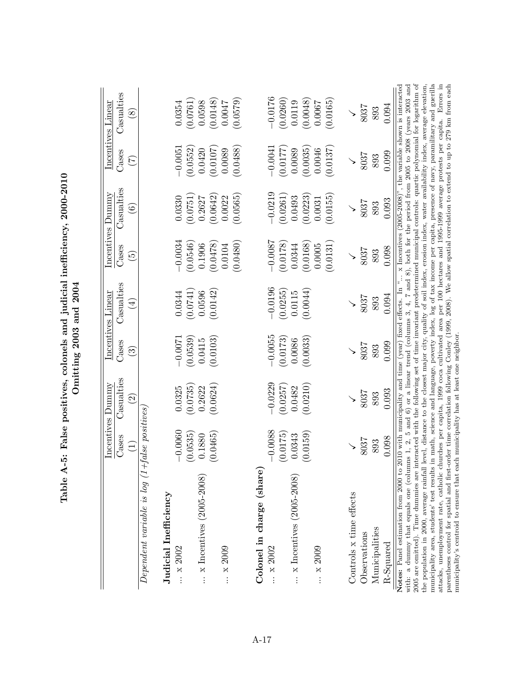|                                                                                                                                                                                                                                                        |                    | Incentives Dummy         |                    | Incentives Linear  |                    | Incentives Dummy  |                    | Incentives Linear                                                                                                                                                                                                                      |
|--------------------------------------------------------------------------------------------------------------------------------------------------------------------------------------------------------------------------------------------------------|--------------------|--------------------------|--------------------|--------------------|--------------------|-------------------|--------------------|----------------------------------------------------------------------------------------------------------------------------------------------------------------------------------------------------------------------------------------|
|                                                                                                                                                                                                                                                        | Cases              | Casualties               | Cases              | Casualties         | Cases              | Casualties        | Cases              | Casualties                                                                                                                                                                                                                             |
|                                                                                                                                                                                                                                                        | $\widetilde{\Xi}$  | $\overline{\mathcal{S}}$ | త                  | $\widehat{4}$      | ونَ                | $\widehat{\circ}$ | E                  | $\infty$                                                                                                                                                                                                                               |
| $Dependent\ variable\ is\ log\ (1+false\ positions$                                                                                                                                                                                                    |                    |                          |                    |                    |                    |                   |                    |                                                                                                                                                                                                                                        |
| Judicial Inefficiency                                                                                                                                                                                                                                  |                    |                          |                    |                    |                    |                   |                    |                                                                                                                                                                                                                                        |
| x 2002                                                                                                                                                                                                                                                 | 0.0060             | 0.0325                   | $-0.0071$          | 0.0344             | $-0.0034$          | 0.0330            | $-0.0051$          | 0.0354                                                                                                                                                                                                                                 |
| $\ldots$ x Incentives (2005-2008)                                                                                                                                                                                                                      | (0.0535)<br>0.1880 | (0.0735)<br>0.2622       | (0.0539)<br>0.0415 | (0.0741)<br>0.0596 | (0.0546)<br>0.1906 | 0.0751<br>0.2627  | (0.0552)<br>0.0420 | (0.0761)<br>0.0598                                                                                                                                                                                                                     |
|                                                                                                                                                                                                                                                        | (0.0465)           | (0.0624)                 | (0.0103)           | (0.0142)           | (8240.0)           | (0.0642)          | (0.0107)           | (0.0148)                                                                                                                                                                                                                               |
| x 2009                                                                                                                                                                                                                                                 |                    |                          |                    |                    | 0.0480)<br>0.0104  | 0.0565<br>0.0022  | 0.0488<br>0.0089   | (6750)<br>0.0047                                                                                                                                                                                                                       |
| Colonel in charge (share)                                                                                                                                                                                                                              |                    |                          |                    |                    |                    |                   |                    |                                                                                                                                                                                                                                        |
| x 2002                                                                                                                                                                                                                                                 | $-0.0088$          | $-0.0229$                | $-0.0055$          | $-0.0196$          | $-0.0087$          | $-0.0219$         | $-0.0041$          | $-0.0176$                                                                                                                                                                                                                              |
|                                                                                                                                                                                                                                                        | (0.0175)           | (0.0257)                 | (0.0173)           | (0.0255)           | (0.0178)           | (0.0261)          | (0.0177)           | (0.0260)                                                                                                                                                                                                                               |
| $\ldots$ x Incentives (2005-2008)                                                                                                                                                                                                                      | 0.0343             | 0.0482                   | 0.0086             | 0.0115             | 0.0344             | 0.0493            | 0.0089             | 0.0119                                                                                                                                                                                                                                 |
|                                                                                                                                                                                                                                                        | (0.0159)           | (0.0210)                 | (0.0033)           | 0.0044             | (0.0168)           | (0.0223)          | (0.0035)           | (0.0048)                                                                                                                                                                                                                               |
| x 2009                                                                                                                                                                                                                                                 |                    |                          |                    |                    | 0.0005             | 0.0031            | 0.0046             | 0.0067                                                                                                                                                                                                                                 |
|                                                                                                                                                                                                                                                        |                    |                          |                    |                    | (0.0131)           | (0.0155)          | (0.0137)           | (0.0165)                                                                                                                                                                                                                               |
| Controls x time effects                                                                                                                                                                                                                                |                    |                          |                    |                    |                    |                   |                    | $\checkmark$                                                                                                                                                                                                                           |
| Observations                                                                                                                                                                                                                                           | 8037               | 8037                     | 8037               | 8037               | 8037               | 8037              | 8037               | 8037                                                                                                                                                                                                                                   |
| Municipalities                                                                                                                                                                                                                                         | 893                | 893                      | 893                | 893                | 893                | 893               | 893                | 893                                                                                                                                                                                                                                    |
| R-Squared                                                                                                                                                                                                                                              | 0.098              | 0.093                    | 0.099              | 0.094              | 0.098              | 0.093             | 0.099              | 0.094                                                                                                                                                                                                                                  |
| with: a dummy that equals one (columns $1, 2,$<br>Notes: Panel estimation from 2000 to                                                                                                                                                                 |                    |                          |                    |                    |                    |                   |                    | 2010 with municipality and time (year) fixed effects. In " x Incentives $(2005-2008)$ ", the variable shown is interacted<br>5 and 6) or a linear trend (columns 3, 4, 7 and 8), both for the period from 2005 to 2008 (years 2003 and |
| 2005 are omitted). Time dummies are interacted with the following set of time invariant predetermined municipal controls: quartic polynomial for logarithm of<br>the population in 2000, average rainfall                                              |                    |                          |                    |                    |                    |                   |                    | level, distance to the closest major city, quality of soil index, erosion index, water availability index, average elevation,                                                                                                          |
| attacks, unemployment rate, catholic churches per capita, 1999 coca cultivated area per 100 hectares and 1995-1999 average protests per capita. Errors in<br>municipality area, students' test results                                                 |                    |                          |                    |                    |                    |                   |                    | in math, science and language, poverty index, log of tax income per capita, presence of navy, paramilitary and guerilla                                                                                                                |
| parentheses control for spatial and first-order time correlation following Conley (1999, 2008). We allow spatial correlation to extend to up to 279 km from each<br>municipality's centroid to ensure that each municipality has at least one neighbor |                    |                          |                    |                    |                    |                   |                    |                                                                                                                                                                                                                                        |

Table A-5: False positives, colonels and judicial inefficiency, 2000-2010<br>Omitting 2003 and 2004 Table A-5: False positives, colonels and judicial inefficiency, 2000-2010  $\mathrm{Omitting}$  2003 and 2004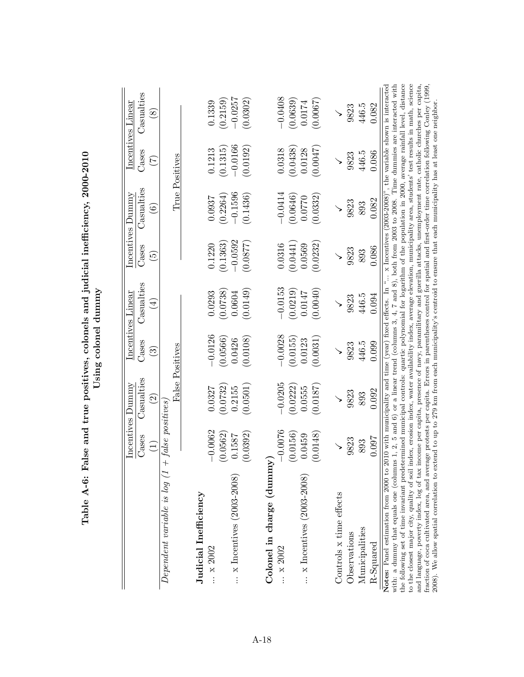|                                                                                                                                                                                                                                                                                                                                                                                                                                                                                                                                                                                                                                                                            |                     | Incentives Dummy         |                        | Incentives Linear  |                            | Incentives Dummy      |                       | Incentives Linear     |
|----------------------------------------------------------------------------------------------------------------------------------------------------------------------------------------------------------------------------------------------------------------------------------------------------------------------------------------------------------------------------------------------------------------------------------------------------------------------------------------------------------------------------------------------------------------------------------------------------------------------------------------------------------------------------|---------------------|--------------------------|------------------------|--------------------|----------------------------|-----------------------|-----------------------|-----------------------|
|                                                                                                                                                                                                                                                                                                                                                                                                                                                                                                                                                                                                                                                                            | Cases               | Casualties               | Cases                  | Casualties         | Cases                      | Casualties            | Cases                 | Casualties            |
|                                                                                                                                                                                                                                                                                                                                                                                                                                                                                                                                                                                                                                                                            | $\equiv$            | $\widehat{\mathfrak{S}}$ | $\widehat{\mathbb{C}}$ | $(\pm)$            | $\widetilde{\mathfrak{S}}$ | $\hat{\mathbf{e}}$    | E                     | $\infty$              |
| Dependent variable is log (1                                                                                                                                                                                                                                                                                                                                                                                                                                                                                                                                                                                                                                               | $+$ false positives |                          | False Positives        |                    |                            |                       | True Positives        |                       |
| Judicial Inefficiency                                                                                                                                                                                                                                                                                                                                                                                                                                                                                                                                                                                                                                                      |                     |                          |                        |                    |                            |                       |                       |                       |
| $\dots \times 2002$                                                                                                                                                                                                                                                                                                                                                                                                                                                                                                                                                                                                                                                        | $-0.0062$           | 0.0327                   | $-0.0126$              | 0.0293             | 0.1220                     | 0.0937                | 0.1213                | 0.1339                |
|                                                                                                                                                                                                                                                                                                                                                                                                                                                                                                                                                                                                                                                                            | (0.0562)            | (0.0732)                 | (0.0566)               | (0.0738)           | (0.1363)                   | (0.2264)              | (0.1315)              | (0.2159)              |
| $\ldots$ x Incentives (2003-2008)                                                                                                                                                                                                                                                                                                                                                                                                                                                                                                                                                                                                                                          | (0.0392)<br>0.1587  | (0.0501)<br>0.2155       | 0.0108<br>0.0426       | (0.0149)<br>0.0604 | $-0.0592$<br>(0.0877)      | $-0.1596$<br>(0.1436) | $-0.0166$<br>(0.0192) | $-0.0257$<br>(0.0302) |
|                                                                                                                                                                                                                                                                                                                                                                                                                                                                                                                                                                                                                                                                            |                     |                          |                        |                    |                            |                       |                       |                       |
| Colonel in charge (dumm<br>$ \times 2002$                                                                                                                                                                                                                                                                                                                                                                                                                                                                                                                                                                                                                                  | $-0.0076$<br>১      | $-0.0205$                | $-0.0028$              | $-0.0153$          | 0.0316                     | $-0.0414$             | 0.0318                | $-0.0408$             |
|                                                                                                                                                                                                                                                                                                                                                                                                                                                                                                                                                                                                                                                                            | (0.0156)            | (0.0222)                 | (0.0155)               | (0.0219)           | (0.0441)                   | (0.0646)              | (0.0438)              | (0.0639)              |
| $\ldots$ x Incentives (2003-2008)                                                                                                                                                                                                                                                                                                                                                                                                                                                                                                                                                                                                                                          | 0.0459              | 0.0555                   | 0.0123                 | 0.0147             | 0.0569                     | 0.0770                | 0.0128                | 0.0174                |
|                                                                                                                                                                                                                                                                                                                                                                                                                                                                                                                                                                                                                                                                            | (0.0148)            | (0.0187)                 | 0.0031                 | (0.0040)           | (0.0232)                   | 0.0332                | (0.0047)              | (0.0067)              |
| Controls x time effects                                                                                                                                                                                                                                                                                                                                                                                                                                                                                                                                                                                                                                                    |                     |                          |                        |                    |                            |                       | $\checkmark$          |                       |
| Observations                                                                                                                                                                                                                                                                                                                                                                                                                                                                                                                                                                                                                                                               | 9823                | 9823                     | 9823                   | 9823               | 9823                       | 9823                  | 9823                  | 9823                  |
| Municipalities                                                                                                                                                                                                                                                                                                                                                                                                                                                                                                                                                                                                                                                             | 893                 | 893                      | 446.5                  | 446.5              | 893                        | 893                   | 446.5                 | 446.5                 |
| R-Squared                                                                                                                                                                                                                                                                                                                                                                                                                                                                                                                                                                                                                                                                  | 0.097               | 0.092                    | 0.099                  | 0.094              | 0.086                      | 0.082                 | 0.086                 | 0.082                 |
| with: a dummy that equals one (columns 1, 2, 5 and 6) or a linear trend (columns 3, 4, 7 and 8), both from 2003 to 2008. Time dummies are interacted with<br>the following set of time invariant predetermined municipal controls: quartic polynomial for logarithm of the population in 2000, average rainfall level, distance<br>to the closest major city, quality of soil index, erosion index, water availability index, average elevation, municipality area, students' test results in math, science<br>Notes: Panel estimation from 2000 to 2010 with municipality and time (year) fixed effects. In " x Incentives (2003-2008)", the variable shown is interacted |                     |                          |                        |                    |                            |                       |                       |                       |
| and language, poverty index, log of tax income per capita, presence of navy, paramilitary and guerilla attacks, unemployment rate, catholic churches per capita,<br>fraction of coca cultivated area, and average protests per capita. Errors in parentheses control for spatial and first-order time correlation following Conley (1999,                                                                                                                                                                                                                                                                                                                                  |                     |                          |                        |                    |                            |                       |                       |                       |
| 2008). We allow spatial correlation to extend to up to 279 km from each municipality's centroid to ensure that each municipality has at least one neighbor.                                                                                                                                                                                                                                                                                                                                                                                                                                                                                                                |                     |                          |                        |                    |                            |                       |                       |                       |

Table A-6: False and true positives, colonels and judicial inefficiency, 2000-2010 Table A-6: False and true positives, colonels and judicial inefficiency, 2000-2010 Using colonel dummy Using colonel dummy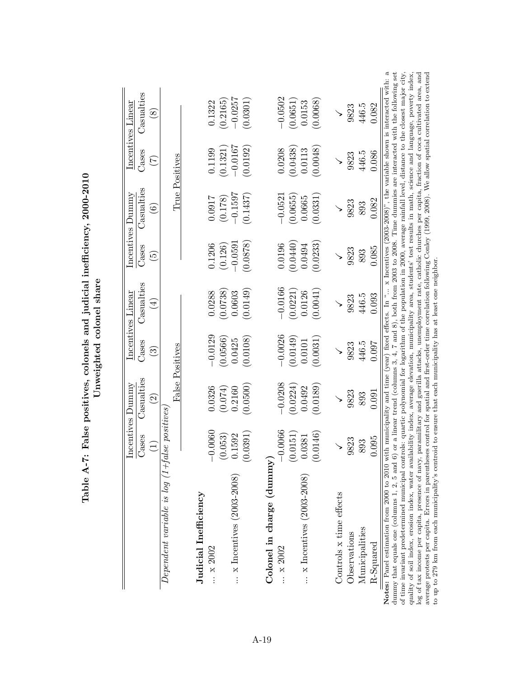|                                                                                                                                                                                                                                                                                                                                                                                                     |                         | Incentives Dummy   |                        | Incentives Linear |                            | Incentives Dummy  |                   | Incentives Linear                                                                                                         |
|-----------------------------------------------------------------------------------------------------------------------------------------------------------------------------------------------------------------------------------------------------------------------------------------------------------------------------------------------------------------------------------------------------|-------------------------|--------------------|------------------------|-------------------|----------------------------|-------------------|-------------------|---------------------------------------------------------------------------------------------------------------------------|
|                                                                                                                                                                                                                                                                                                                                                                                                     | Cases                   | Casualties         | Cases                  | Casualties        | $\rm{Case}$                | Casualties        | Cases             | Casualties                                                                                                                |
|                                                                                                                                                                                                                                                                                                                                                                                                     | $\Xi$                   | $\widehat{\Omega}$ | $\widehat{\mathbb{C}}$ | $(\pm)$           | $\widetilde{\mathfrak{S}}$ | $\widehat{\odot}$ | $\widetilde{\Xi}$ | $\circledast$                                                                                                             |
| $Dependent\ variable\ is\ log\ (1+false\ positions)$                                                                                                                                                                                                                                                                                                                                                |                         |                    |                        |                   |                            |                   |                   |                                                                                                                           |
|                                                                                                                                                                                                                                                                                                                                                                                                     |                         |                    | False Positives        |                   |                            |                   | True Positives    |                                                                                                                           |
| Judicial Inefficiency                                                                                                                                                                                                                                                                                                                                                                               |                         |                    |                        |                   |                            |                   |                   |                                                                                                                           |
| x 2002                                                                                                                                                                                                                                                                                                                                                                                              | 0.0060                  | 0.0326             | $-0.0129$              | 0.0288            | 0.1206                     | 7160.0            | 0.1199            | 0.1322                                                                                                                    |
|                                                                                                                                                                                                                                                                                                                                                                                                     | 0.053)<br>$\subseteq$   | (0.074)            | (0.0566)               | (0.0738)          | (0.126)                    | (0.178)           | (0.1321)          | (0.2165)                                                                                                                  |
| $\ldots$ x Incentives (2003-2008)                                                                                                                                                                                                                                                                                                                                                                   | .1592<br>$\circ$        | 0.2160             | 0.0425                 | 0.0603            | $-0.0591$                  | $-0.1597$         | $-0.0167$         | $-0.0257$                                                                                                                 |
|                                                                                                                                                                                                                                                                                                                                                                                                     | (1391)<br>$\dot{\circ}$ | (0.0500)           | (0.0108)               | (0.0149)          | 0.0878                     | (0.1437)          | (0.0192)          | [0.0301]                                                                                                                  |
| Colonel in charge (dummy)                                                                                                                                                                                                                                                                                                                                                                           |                         |                    |                        |                   |                            |                   |                   |                                                                                                                           |
| $\therefore$ x 2002                                                                                                                                                                                                                                                                                                                                                                                 | 00066                   | $-0.0208$          | $-0.0026$              | $-0.0166$         | 0.0196                     | $-0.0521$         | 0.0208            | $-0.0502$                                                                                                                 |
|                                                                                                                                                                                                                                                                                                                                                                                                     | $(0.0151)$<br>$0.0381$  | (0.0224)           | (0.0149)               | (0.0221)          | (0.0440)                   | (0.0655)          | (0.0438)          | (0.0651)                                                                                                                  |
| $\ldots$ x Incentives (2003-2008)                                                                                                                                                                                                                                                                                                                                                                   |                         | 0.0492             | 0.0101                 | 0.0126            | 0.0494                     | 0.0665            | 0.0113            | 0.0153                                                                                                                    |
|                                                                                                                                                                                                                                                                                                                                                                                                     | .0146)<br>Ċ.            | (0.0189)           | (0.0031)               | (0.0041)          | 0.0233                     | (0.0331)          | (0.0048)          | 0.0068                                                                                                                    |
| Controls x time effects                                                                                                                                                                                                                                                                                                                                                                             |                         | $\checkmark$       |                        |                   |                            |                   |                   |                                                                                                                           |
| Observations                                                                                                                                                                                                                                                                                                                                                                                        | 9823                    | 9823               | 9823                   | 9823              | 9823                       | 9823              | 9823              | 9823                                                                                                                      |
| Municipalities                                                                                                                                                                                                                                                                                                                                                                                      | 893                     | 893                | 446.5                  | 446.5             | 893                        | 893               | 446.5             | 446.5                                                                                                                     |
| $R-Squared$                                                                                                                                                                                                                                                                                                                                                                                         | 1.095                   | 0.091              | 0.097                  | 0.093             | 0.085                      | 0.082             | 0.086             | 0.082                                                                                                                     |
| Notes: Panel estimation from 2000 to 2010 with municipality and time (year) fixed effects. In " x Incentives (2003-2008)", the variable shown is interacted with: a<br>of time invariant predetermined municipal controls: quartic polynomial for logarithm of the population in 2000, average rainfall level, distance to the closest major city,<br>dummy that equals one (columns 1, 2, 5 and 6) |                         |                    |                        |                   |                            |                   |                   | or a linear trend (columns 3, 4, 7 and 8), both from 2003 to 2008. Time dummies are interacted with the following set     |
| quality of soil index, erosion index, water availability index, average elevation, municipality area, students' test results in math, science and language, poverty index,<br>log of tax income per capita, presence of navy, J                                                                                                                                                                     |                         |                    |                        |                   |                            |                   |                   | paramilitary and guerilla attacks, unemployment rate, catholic churches per capita, fraction of coca cultivated area, and |
| average protests per capita. Errors in parentheses control for spatial and first-order time correlation following Conley (1999, 2008). We allow spatial correlation to extend<br>to up to 279 km from each municipality's centroid to ensure that each municipality has at least one neighbor                                                                                                       |                         |                    |                        |                   |                            |                   |                   |                                                                                                                           |
|                                                                                                                                                                                                                                                                                                                                                                                                     |                         |                    |                        |                   |                            |                   |                   |                                                                                                                           |

Table A-7: False positives, colonels and judicial inefficiency, 2000-2010 Table A-7: False positives, colonels and judicial inefficiency, 2000-2010 Unweighted colonel share Unweighted colonel share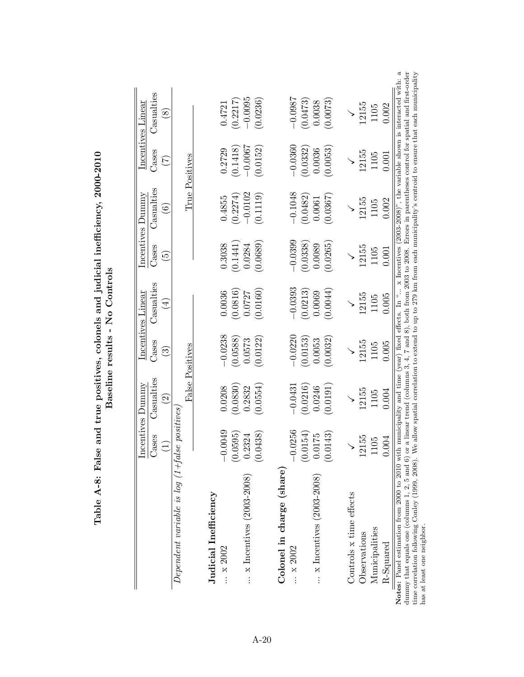|                                                     |                                                               |                                                              |                                 | Incentives Linear           |                                   | Incentives Dummy                |                | Incentives Linear      |
|-----------------------------------------------------|---------------------------------------------------------------|--------------------------------------------------------------|---------------------------------|-----------------------------|-----------------------------------|---------------------------------|----------------|------------------------|
|                                                     | $\Xi$                                                         | Casualties<br>Incentives Dummy<br>Cases Casualtie<br>$\odot$ | Cases<br>$\widehat{\mathbb{C}}$ | Casualties<br>$\widehat{4}$ | Cases<br>$\widehat{\mathfrak{S}}$ | Casualties<br>$\widehat{\circ}$ | Cases<br>E     | Casualties<br>$\infty$ |
| $Dependent\ variable\ is\ log\ (1+false\ positions$ |                                                               |                                                              |                                 |                             |                                   |                                 |                |                        |
|                                                     |                                                               |                                                              | False Positives                 |                             |                                   |                                 | True Positives |                        |
| Judicial Inefficiency                               |                                                               |                                                              |                                 |                             |                                   |                                 |                |                        |
| $\therefore$ x 2002                                 | 0.0049<br>$\bigcap$                                           | 0.0208                                                       | $-0.0238$                       | 0.0036                      | 0.3038                            | 0.4855                          | 0.2729         | 0.4721                 |
|                                                     |                                                               | (0.0830)                                                     | (0.0588)                        | (0.0816)                    | (0.1441)                          | (0.2274)                        | (0.1418)       | (0.2217)               |
| $\ldots$ x Incentives (2003-2008)                   |                                                               | 0.2832                                                       | 0.0573                          | 0.0727                      | 0.0284                            | $-0.0102$                       | $-0.0007$      | $-0.0095$              |
|                                                     | $\begin{array}{c} (0.0595) \\ 0.2324 \\ (0.0438) \end{array}$ | (0.0554)                                                     | (0.0122)                        | (0.0160)                    | (0.0689)                          | (0.1119)                        | (0.0152)       | (0.0236)               |
| Colonel in charge (share)                           |                                                               |                                                              |                                 |                             |                                   |                                 |                |                        |
| x 2002                                              | $-0.0256$                                                     | $-0.0431$                                                    | $-0.0220$                       | $-0.0393$                   | $-0.0399$                         | $-0.1048$                       | $-0.0360$      | $-0.0987$              |
|                                                     | $\left(0.0154\right)$ $0.0175$                                | (0.0216)                                                     | (0.0153)                        | (0.0213)                    | (0.0338)                          | (0.0482)                        | (0.0332)       | (0.0473)               |
| $\ldots$ x Incentives (2003-2008)                   |                                                               | 0.0246                                                       | 0.0053                          | 0.0069                      | 0.0089                            | 0.0061                          | 0.0036         | 0.0038                 |
|                                                     | (0.0143)                                                      | (0.0191)                                                     | (0.0032)                        | (0.0044)                    | 0.0265                            | [0.0367]                        | (0.0053)       | (0.0073)               |
| Controls x time effects                             |                                                               |                                                              |                                 |                             |                                   |                                 |                |                        |
| Observations                                        | 12155                                                         | 12155                                                        | 12155                           | 12155                       | 12155                             | 12155                           | 12155          | 12155                  |
| Municipalities                                      | 105                                                           | 1105                                                         | 1105                            | 1105                        | 1105                              | 1105                            | 1105           | 1105                   |
| $R-Squared$                                         | <b>1.004</b>                                                  | 0.004                                                        | 0.005                           | 0.005                       | 0.001                             | 0.002                           | 0.001          | 0.002                  |

Table A-8: False and true positives, colonels and judicial inefficiency,  $2000-2010$ <br>Becoling results and  $\Gamma$ Table A-8: False and true positives, colonels and judicial inefficiency, 2000-2010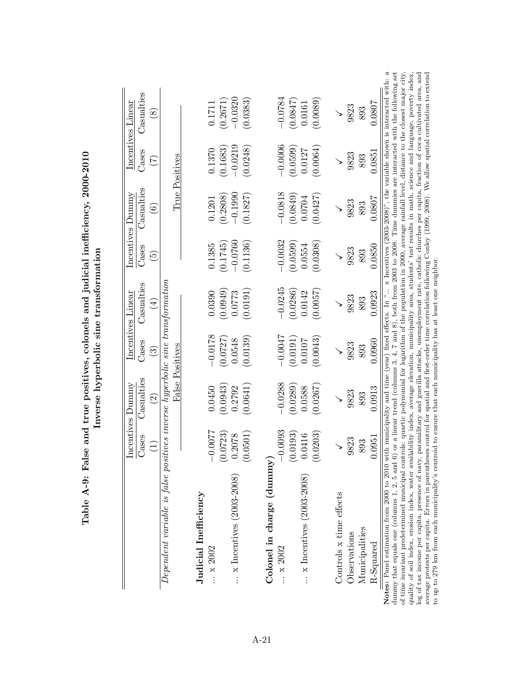|          |                                                                                 |           | Incentives Linear |                          | Incentives Dummy                                                                                             |                   | Incentives Linear                                                                                                                                                                                                                                                                                                                                                                                                                                                                                                                                                                                                                                                                                                                                                                                                                                                                                                                                                       |
|----------|---------------------------------------------------------------------------------|-----------|-------------------|--------------------------|--------------------------------------------------------------------------------------------------------------|-------------------|-------------------------------------------------------------------------------------------------------------------------------------------------------------------------------------------------------------------------------------------------------------------------------------------------------------------------------------------------------------------------------------------------------------------------------------------------------------------------------------------------------------------------------------------------------------------------------------------------------------------------------------------------------------------------------------------------------------------------------------------------------------------------------------------------------------------------------------------------------------------------------------------------------------------------------------------------------------------------|
|          | Casualties<br>Incentives Dummy<br>Cases Casualtie                               | Cases     | Casualties        | Cases                    | Casualties                                                                                                   | Cases             | Casualties                                                                                                                                                                                                                                                                                                                                                                                                                                                                                                                                                                                                                                                                                                                                                                                                                                                                                                                                                              |
|          | $\widetilde{\mathcal{S}}$                                                       | త         | $\widehat{A}$     | $\widetilde{\mathbb{C}}$ | $\widehat{\odot}$                                                                                            | $\widetilde{\Xi}$ | $\circledast$                                                                                                                                                                                                                                                                                                                                                                                                                                                                                                                                                                                                                                                                                                                                                                                                                                                                                                                                                           |
|          | $Dependent\ variable$ is false positives inverse hyperbolic sine transformation |           |                   |                          |                                                                                                              |                   |                                                                                                                                                                                                                                                                                                                                                                                                                                                                                                                                                                                                                                                                                                                                                                                                                                                                                                                                                                         |
|          | False Positives                                                                 |           |                   |                          | True Positives                                                                                               |                   |                                                                                                                                                                                                                                                                                                                                                                                                                                                                                                                                                                                                                                                                                                                                                                                                                                                                                                                                                                         |
|          |                                                                                 |           |                   |                          |                                                                                                              |                   |                                                                                                                                                                                                                                                                                                                                                                                                                                                                                                                                                                                                                                                                                                                                                                                                                                                                                                                                                                         |
| 0.0077   | 0.0450                                                                          | $-0.0178$ | 0.0390            | 0.1385                   | 0.1201                                                                                                       | 0.1370            | 0.1711                                                                                                                                                                                                                                                                                                                                                                                                                                                                                                                                                                                                                                                                                                                                                                                                                                                                                                                                                                  |
| .0723)   | (0.0943)                                                                        | (0.0727)  | (0.0949)          | (0.1745)                 | (0.2808)                                                                                                     | (0.1683)          | (0.2671)                                                                                                                                                                                                                                                                                                                                                                                                                                                                                                                                                                                                                                                                                                                                                                                                                                                                                                                                                                |
| .2078    | 0.2792                                                                          | 0.0548    | 0.0773            | $-0.0760$                | $-0.1990$                                                                                                    | $-0.0219$         | $-0.0320$                                                                                                                                                                                                                                                                                                                                                                                                                                                                                                                                                                                                                                                                                                                                                                                                                                                                                                                                                               |
| .0501)   | (0.0641)                                                                        | (0.0139)  | (0.0191)          | (0.1136)                 | (0.1827)                                                                                                     | (0.0248)          | (0.0383)                                                                                                                                                                                                                                                                                                                                                                                                                                                                                                                                                                                                                                                                                                                                                                                                                                                                                                                                                                |
|          |                                                                                 |           |                   |                          |                                                                                                              |                   |                                                                                                                                                                                                                                                                                                                                                                                                                                                                                                                                                                                                                                                                                                                                                                                                                                                                                                                                                                         |
| 0.0093   | $-0.0288$                                                                       | $-0.0047$ | $-0.0245$         | $-0.0032$                | $-0.0818$                                                                                                    | $-0.0006$         | $-0.0784$                                                                                                                                                                                                                                                                                                                                                                                                                                                                                                                                                                                                                                                                                                                                                                                                                                                                                                                                                               |
| (0.0193) | (0.0289)                                                                        | (0.0191)  | (0.0286)          | (0.0599)                 | (0.0849)                                                                                                     | (0.0599)          | (0.0847)                                                                                                                                                                                                                                                                                                                                                                                                                                                                                                                                                                                                                                                                                                                                                                                                                                                                                                                                                                |
| .0416    | 0.0588                                                                          | 0.0107    | 0.0142            | 0.0554                   | 0.0704                                                                                                       | 0.0127            | 0.0161                                                                                                                                                                                                                                                                                                                                                                                                                                                                                                                                                                                                                                                                                                                                                                                                                                                                                                                                                                  |
| .0203)   | (0.0267)                                                                        | 0.0043    | (0.0057)          | (0.0308)                 | (0.0427)                                                                                                     | (0.0064)          | (0.0089)                                                                                                                                                                                                                                                                                                                                                                                                                                                                                                                                                                                                                                                                                                                                                                                                                                                                                                                                                                |
|          |                                                                                 |           |                   |                          |                                                                                                              |                   |                                                                                                                                                                                                                                                                                                                                                                                                                                                                                                                                                                                                                                                                                                                                                                                                                                                                                                                                                                         |
| 9823     | 9823                                                                            | 9823      | 9823              | 9823                     | 9823                                                                                                         | 9823              | 9823                                                                                                                                                                                                                                                                                                                                                                                                                                                                                                                                                                                                                                                                                                                                                                                                                                                                                                                                                                    |
| 893      | 893                                                                             | 893       | 893               | 893                      | 893                                                                                                          | 893               | 893                                                                                                                                                                                                                                                                                                                                                                                                                                                                                                                                                                                                                                                                                                                                                                                                                                                                                                                                                                     |
| .0951    | 0.0913                                                                          | 0.0960    | 0.0923            | 0.0850                   | 0.0807                                                                                                       | 0.0851            | 0.0807                                                                                                                                                                                                                                                                                                                                                                                                                                                                                                                                                                                                                                                                                                                                                                                                                                                                                                                                                                  |
|          |                                                                                 |           |                   |                          |                                                                                                              |                   |                                                                                                                                                                                                                                                                                                                                                                                                                                                                                                                                                                                                                                                                                                                                                                                                                                                                                                                                                                         |
|          |                                                                                 |           |                   |                          |                                                                                                              |                   |                                                                                                                                                                                                                                                                                                                                                                                                                                                                                                                                                                                                                                                                                                                                                                                                                                                                                                                                                                         |
|          |                                                                                 |           |                   |                          |                                                                                                              |                   |                                                                                                                                                                                                                                                                                                                                                                                                                                                                                                                                                                                                                                                                                                                                                                                                                                                                                                                                                                         |
|          |                                                                                 |           |                   |                          | to up to 279 km from each municipality's centroid to ensure that each municipality has at least one neighbor |                   | or a linear trend (columns 3, 4, 7 and 8), both from 2003 to 2008. Time dummies are interacted with the following set<br>Notes: Panel estimation from 2000 to 2010 with municipality and time (year) fixed effects. In " x Incentives (2003-2008)", the variable shown is interacted with: a<br>of time invariant predetermined municipal controls: quartic polynomial for logarithm of the population in 2000, average rainfall level, distance to the closest major city,<br>paramilitary and guerilla attacks, unemployment rate, catholic churches per capita, fraction of coca cultivated area, and<br>average protests per capita. Errors in parentheses control for spatial and first-order time correlation following Conley (1999, 2008). We allow spatial correlation to extend<br>quality of soil index, erosion index, water availability index, average elevation, municipality area, students' test results in math, science and language, poverty index, |

Table A-9: False and true positives, colonels and judicial inefficiency, 2000-2010 Table A-9: False and true positives, colonels and judicial inefficiency, 2000-2010 Inverse hyperbolic sine transformation Inverse hyperbolic sine transformation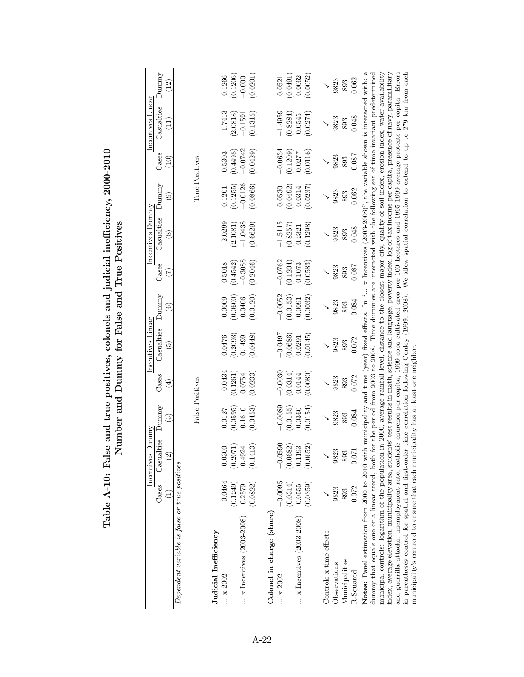|                                                                                                                                                                                                                                                                       |                    |                                                   |                    |                    | control to the particular respectively in the control of the control of the control of the control of the control of the control of the control of the control of the control of the control of the control of the control of |                             |                       |                                                                                                                               |                       |                          |                       |                             |
|-----------------------------------------------------------------------------------------------------------------------------------------------------------------------------------------------------------------------------------------------------------------------|--------------------|---------------------------------------------------|--------------------|--------------------|-------------------------------------------------------------------------------------------------------------------------------------------------------------------------------------------------------------------------------|-----------------------------|-----------------------|-------------------------------------------------------------------------------------------------------------------------------|-----------------------|--------------------------|-----------------------|-----------------------------|
|                                                                                                                                                                                                                                                                       |                    | yuumu<br>Incentives 1                             |                    |                    | Incentives Linear                                                                                                                                                                                                             |                             |                       | Incentives Dummy                                                                                                              |                       |                          | Incentives Linear     |                             |
|                                                                                                                                                                                                                                                                       | Cases              | Casualties<br>$\widehat{2}$                       | Dunnny<br>ව        | Cases<br>$(\pm)$   | Casualties<br>$\widetilde{\mathbb{G}}$                                                                                                                                                                                        | Dunnny<br>$\widehat{\circ}$ | Cases<br>E            | Casualties<br>$\circledast$                                                                                                   | Dunnny<br>ම           | Cases<br>$\widetilde{0}$ | Casualties<br>Ξ<br>Π  | Dunnny<br>$\left(12\right)$ |
| Dependent variable is false or true positives                                                                                                                                                                                                                         |                    |                                                   |                    |                    |                                                                                                                                                                                                                               |                             |                       |                                                                                                                               |                       |                          |                       |                             |
|                                                                                                                                                                                                                                                                       |                    |                                                   | False Positives    |                    |                                                                                                                                                                                                                               |                             |                       |                                                                                                                               | True Positives        |                          |                       |                             |
| Judicial Inefficiency<br>$\therefore$ x 2002                                                                                                                                                                                                                          | $-0.0464$          | 0.0300                                            | 0.0127             | $-0.0434$          | 0.0476                                                                                                                                                                                                                        | 0.0009                      | 0.5018                | $-2.0299$                                                                                                                     | 0.1201                | 0.5303                   | $-1.7413$             | 0.1266                      |
| $\ldots$ x Incentives (2003-2008)                                                                                                                                                                                                                                     | (0.1249)<br>0.2579 | $\begin{array}{c} (0.2071) \\ 0.4924 \end{array}$ | (0.0595)<br>0.1610 | (0.1261)<br>0.0754 | (0.2093)<br>0.1499                                                                                                                                                                                                            | (0.0600)<br>0.0406          | $-0.3088$<br>(0.4542) | $-1.0438$<br>(2.1081)                                                                                                         | $-0.0126$<br>(0.1255) | $-0.0742$<br>(0.4498)    | (2.0818)<br>$-0.1591$ | (0.1206)<br>$-0.0001$       |
|                                                                                                                                                                                                                                                                       | (0.0822)           | (0.1413)                                          | (0.0453)           | (0.0233)           | (0.0448)                                                                                                                                                                                                                      | 0.0120)                     | (0.2046)              | (0.6629)                                                                                                                      | (0.0866)              | (0.0429)                 | (0.1315)              | (0.0201)                    |
| Colonel in charge (share)                                                                                                                                                                                                                                             |                    |                                                   |                    |                    |                                                                                                                                                                                                                               |                             |                       |                                                                                                                               |                       |                          |                       |                             |
| $\ldots \times 2002$                                                                                                                                                                                                                                                  | $-0.0095$          | $-0.0590$                                         | $-0.0089$          | $-0.0030$          | $-0.0497$                                                                                                                                                                                                                     | $-0.0052$                   | $-0.0762$             | $-1.5115$                                                                                                                     | 0.0530                | $-0.0634$                | $-1.4959$             | 0.0521                      |
|                                                                                                                                                                                                                                                                       | (0.0314)           | $(0.0682)$<br>0.1193                              | (0.0155)           | (0.0314)           | (0.0686)                                                                                                                                                                                                                      | (0.0153)                    | (0.1204)              | (0.8257)                                                                                                                      | (0.0492)              | (0.1209)                 | (0.8284)              | (0.0491)                    |
| $\ldots$ x Incentives (2003-2008)                                                                                                                                                                                                                                     | 0.0555             |                                                   | 0.0360             | 0.0144             | 0.0291                                                                                                                                                                                                                        | 0.0091                      | 0.1073                | 0.2321                                                                                                                        | 0.0314                | 0.0277                   | 0.0545                | 0.0062                      |
|                                                                                                                                                                                                                                                                       | (0.0359)           | (0.0652)                                          | (0.0154)           | (0.0080)           | (0.0145)                                                                                                                                                                                                                      | 0.0032                      | (0.0583)              | (0.1298)                                                                                                                      | (0.0237)              | (0.0116)                 | (0.0274)              | (0.0052)                    |
| Controls x time effects                                                                                                                                                                                                                                               |                    | $\checkmark$                                      |                    | ↘                  |                                                                                                                                                                                                                               |                             | ↘                     |                                                                                                                               |                       |                          | $\checkmark$          |                             |
| Observations                                                                                                                                                                                                                                                          | 9823               | 9823                                              | 9823               | 9823               | 9823                                                                                                                                                                                                                          | 9823                        | 9823                  | 9823                                                                                                                          | 9823                  | 9823                     | 9823                  | 9823                        |
| Municipalities                                                                                                                                                                                                                                                        | 893                | 893                                               | 893                | 893                | 893                                                                                                                                                                                                                           | 893                         | 893                   | 893                                                                                                                           | 893                   | 893                      | 893                   | 893                         |
| $R-Squared$                                                                                                                                                                                                                                                           | 0.072              | 0.071                                             | 0.084              | 0.072              | 0.072                                                                                                                                                                                                                         | 0.084                       | 0.087                 | 0.048                                                                                                                         | 0.062                 | 0.087                    | 0.048                 | 0.062                       |
| dummy that equals one or a linear trend, both for the period from 2003 to 2008. Time dummies are interacted with the following set of time invariant predetermined<br>Notes: Panel estimation from 2000 to 2010 with municipality and time (year) fixed effects. In " |                    |                                                   |                    |                    |                                                                                                                                                                                                                               |                             |                       | $\ldots$ x Incentives (2003-2008)", the variable shown is interacted with: a                                                  |                       |                          |                       |                             |
| municipal controls: logarithm of the population                                                                                                                                                                                                                       |                    |                                                   |                    |                    |                                                                                                                                                                                                                               |                             |                       | in 2000, average rainfall level, distance to the closest major city, quality of soil index, erosion index, water availability |                       |                          |                       |                             |
| index, average elevation, municipality area, students' test results in math, science and language, poverty index, log of tax income per capita, presence of navy, paramilitary                                                                                        |                    |                                                   |                    |                    |                                                                                                                                                                                                                               |                             |                       |                                                                                                                               |                       |                          |                       |                             |
| and guerrilla attacks, unemployment rate, catholic churches per capita, 1999 coca cultivated area per 100 hectares and 1995-1999 average protests per capita. Errors<br>in parentheses control for spatial and first-order                                            |                    |                                                   |                    |                    |                                                                                                                                                                                                                               |                             |                       | time correlation following Conley (1999, 2008). We allow spatial correlation to extend to up to 279 km from each              |                       |                          |                       |                             |
| municipality's centroid to ensure that each municipality has at least one neighbor.                                                                                                                                                                                   |                    |                                                   |                    |                    |                                                                                                                                                                                                                               |                             |                       |                                                                                                                               |                       |                          |                       |                             |

Table A-10: False and true positives, colonels and judicial inefficiency, 2000-2010 Table A-10: False and true positives, colonels and judicial inefficiency, 2000-2010 Number and Dummy for False and True Positives Number and Dummy for False and True Positives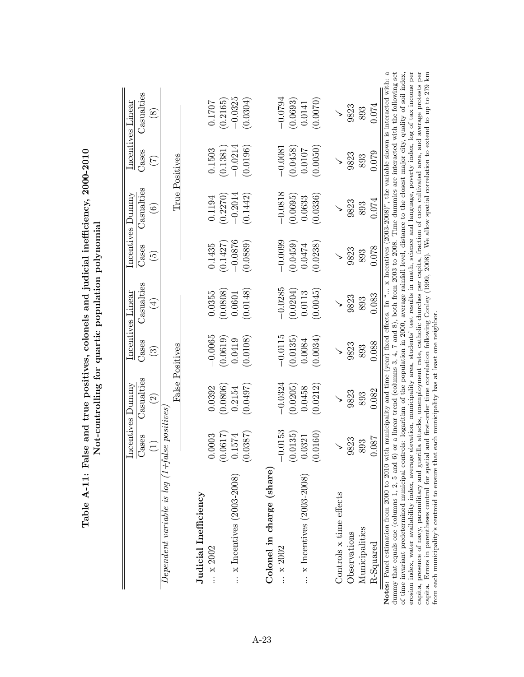|                                                                                                                                                                                                                                                                                                                                                                                                                                                                                                                                                                                                                                                                                                                                                                                                                                                                       |                                                               | Incentives Dummy                             |                        | Incentives Linear  |                          | Incentives Dummy                                                                                                                                                                                                                                |                       | Incentives Linear     |
|-----------------------------------------------------------------------------------------------------------------------------------------------------------------------------------------------------------------------------------------------------------------------------------------------------------------------------------------------------------------------------------------------------------------------------------------------------------------------------------------------------------------------------------------------------------------------------------------------------------------------------------------------------------------------------------------------------------------------------------------------------------------------------------------------------------------------------------------------------------------------|---------------------------------------------------------------|----------------------------------------------|------------------------|--------------------|--------------------------|-------------------------------------------------------------------------------------------------------------------------------------------------------------------------------------------------------------------------------------------------|-----------------------|-----------------------|
|                                                                                                                                                                                                                                                                                                                                                                                                                                                                                                                                                                                                                                                                                                                                                                                                                                                                       | Cases                                                         | Casualties                                   | Cases                  | Casualties         | Cases                    | Casualties                                                                                                                                                                                                                                      | Cases                 | Casualties            |
|                                                                                                                                                                                                                                                                                                                                                                                                                                                                                                                                                                                                                                                                                                                                                                                                                                                                       | $\widetilde{\Xi}$                                             | $\widehat{\Omega}$                           | $\widehat{\mathbb{C}}$ | $(\pm)$            | $\widetilde{\mathbb{G}}$ | $\widehat{\circ}$                                                                                                                                                                                                                               | $(\mathcal{I})$       | $\bigcirc$            |
| $Dependent\ variable\ is\ log\ (1+false\ positions$                                                                                                                                                                                                                                                                                                                                                                                                                                                                                                                                                                                                                                                                                                                                                                                                                   |                                                               |                                              |                        |                    |                          |                                                                                                                                                                                                                                                 |                       |                       |
|                                                                                                                                                                                                                                                                                                                                                                                                                                                                                                                                                                                                                                                                                                                                                                                                                                                                       |                                                               |                                              | False Positives        |                    |                          |                                                                                                                                                                                                                                                 | True Positives        |                       |
| Judicial Inefficiency                                                                                                                                                                                                                                                                                                                                                                                                                                                                                                                                                                                                                                                                                                                                                                                                                                                 |                                                               |                                              |                        |                    |                          |                                                                                                                                                                                                                                                 |                       |                       |
| $\therefore$ x 2002                                                                                                                                                                                                                                                                                                                                                                                                                                                                                                                                                                                                                                                                                                                                                                                                                                                   | 0.0003                                                        | 0.0392                                       | $-0.0065$              | 0.0355             | 0.1435                   | 0.1194                                                                                                                                                                                                                                          | 0.1503                | 0.1707                |
| $\ldots$ x Incentives (2003-2008)                                                                                                                                                                                                                                                                                                                                                                                                                                                                                                                                                                                                                                                                                                                                                                                                                                     | $(0.0617)$<br>0.1574<br>0.0387)                               | (0.0806)<br>0.2154                           | (0.0619)<br>0.0419     | (0.0808)<br>0.0601 | $-0.0876$<br>(0.1427)    | $-0.2014$<br>(0.2270)                                                                                                                                                                                                                           | $-0.0214$<br>(0.1381) | $-0.0325$<br>(0.2165) |
|                                                                                                                                                                                                                                                                                                                                                                                                                                                                                                                                                                                                                                                                                                                                                                                                                                                                       |                                                               | (0.0497)                                     | (0.0108)               | (0.0148)           | (0.0889)                 | (0.1442)                                                                                                                                                                                                                                        | (0.0196)              | (0.0304)              |
| Colonel in charge (share)                                                                                                                                                                                                                                                                                                                                                                                                                                                                                                                                                                                                                                                                                                                                                                                                                                             |                                                               |                                              |                        |                    |                          |                                                                                                                                                                                                                                                 |                       |                       |
| $\therefore$ x 2002                                                                                                                                                                                                                                                                                                                                                                                                                                                                                                                                                                                                                                                                                                                                                                                                                                                   | 0.0153                                                        | $-0.0324$                                    | $-0.0115$              | $-0.0285$          | $-0.0099$                | $-0.0818$                                                                                                                                                                                                                                       | $-0.0081$             | $-0.0794$             |
|                                                                                                                                                                                                                                                                                                                                                                                                                                                                                                                                                                                                                                                                                                                                                                                                                                                                       | $\begin{array}{c} (0.0135) \\ 0.0321 \\ (0.0160) \end{array}$ | (0.0205)                                     | (0.0135)               | (0.0204)           | (0.0459)                 | (0.0695)                                                                                                                                                                                                                                        | (0.0458)              | (0.0693)              |
| $\ldots$ x Incentives (2003-2008)                                                                                                                                                                                                                                                                                                                                                                                                                                                                                                                                                                                                                                                                                                                                                                                                                                     |                                                               | 0.0458                                       | 0.0084                 | 0.0113             | 0.0474                   | 0.0633                                                                                                                                                                                                                                          | 0.0107                | 0.0141                |
|                                                                                                                                                                                                                                                                                                                                                                                                                                                                                                                                                                                                                                                                                                                                                                                                                                                                       |                                                               | (0.0212)                                     | (0.0034)               | (0.0045)           | 0.0238                   | (0.0336)                                                                                                                                                                                                                                        | (0.0050)              | (0.0070)              |
| Controls x time effects                                                                                                                                                                                                                                                                                                                                                                                                                                                                                                                                                                                                                                                                                                                                                                                                                                               |                                                               |                                              |                        |                    |                          |                                                                                                                                                                                                                                                 |                       |                       |
| Observations                                                                                                                                                                                                                                                                                                                                                                                                                                                                                                                                                                                                                                                                                                                                                                                                                                                          | 9823                                                          | 9823                                         | 9823                   | 9823               | 9823                     | 9823                                                                                                                                                                                                                                            | 9823                  | 9823                  |
| Municipalities                                                                                                                                                                                                                                                                                                                                                                                                                                                                                                                                                                                                                                                                                                                                                                                                                                                        | 893                                                           | 893                                          | 893                    | 893                | 893                      | 893                                                                                                                                                                                                                                             | 893                   | 893                   |
| R-Squared                                                                                                                                                                                                                                                                                                                                                                                                                                                                                                                                                                                                                                                                                                                                                                                                                                                             | .087                                                          | 0.082                                        | 0.088                  | 0.083              | 0.078                    | 0.074                                                                                                                                                                                                                                           | 0.079                 | 0.074                 |
| Notes: Panel estimation from 2000 to 2010 with municipality and time (year) fixed effects. In " x Incentives (2003-2008)", the variable shown is interacted with: a<br>erosion index, water availability index, average elevation, municipality area, students' test results in math, science and language, poverty index, log of tax income per<br>capita, presence of navy, paramilitary and guerilla attacks, unemployment rate, catholic churches per capita, fraction of coca cultivated area, and average protests per<br>of time invariant predetermined municipal controls: logarithm of the population in 2000, average rainfall level, distance to the closest major city, quality of soil index,<br>dummy that equals one (columns 1, 2, 5 and 6)<br>capita. Errors in parentheses control for spatial<br>from each municipality's centroid to ensure that |                                                               | each municipality has at least one neighbor. |                        |                    |                          | or a linear trend (columns 3, 4, 7 and 8), both from 2003 to 2008. Time dummies are interacted with the following set<br>and first-order time correlation following Conley (1999, 2008). We allow spatial correlation to extend to up to 279 km |                       |                       |

Table A-11: False and true positives, colonels and judicial inefficiency, 2000-2010 Table A-11: False and true positives, colonels and judicial inefficiency, 2000-2010 Not-controlling for quartic population polynomial Not-controlling for quartic population polynomial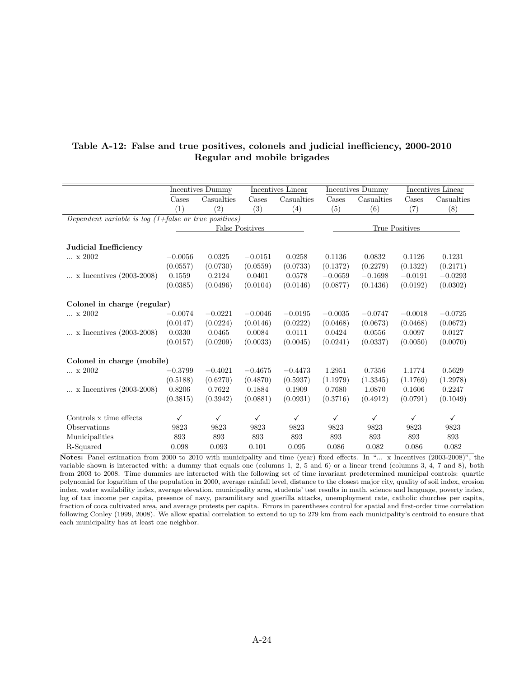|                                                               |              | Incentives Dummy       |           | Incentives Linear |              | Incentives Dummy |                | Incentives Linear |
|---------------------------------------------------------------|--------------|------------------------|-----------|-------------------|--------------|------------------|----------------|-------------------|
|                                                               | Cases        | Casualties             | Cases     | Casualties        | Cases        | Casualties       | Cases          | Casualties        |
|                                                               | (1)          | (2)                    | (3)       | (4)               | (5)          | (6)              | (7)            | (8)               |
| Dependent variable is log $(1+false \ or \ true \ positives)$ |              |                        |           |                   |              |                  |                |                   |
|                                                               |              | <b>False Positives</b> |           |                   |              |                  | True Positives |                   |
|                                                               |              |                        |           |                   |              |                  |                |                   |
| Judicial Inefficiency                                         |              |                        |           |                   |              |                  |                |                   |
| x 2002                                                        | $-0.0056$    | 0.0325                 | $-0.0151$ | 0.0258            | 0.1136       | 0.0832           | 0.1126         | 0.1231            |
|                                                               | (0.0557)     | (0.0730)               | (0.0559)  | (0.0733)          | (0.1372)     | (0.2279)         | (0.1322)       | (0.2171)          |
| $\ldots$ x Incentives (2003-2008)                             | 0.1559       | 0.2124                 | 0.0401    | 0.0578            | $-0.0659$    | $-0.1698$        | $-0.0191$      | $-0.0293$         |
|                                                               | (0.0385)     | (0.0496)               | (0.0104)  | (0.0146)          | (0.0877)     | (0.1436)         | (0.0192)       | (0.0302)          |
|                                                               |              |                        |           |                   |              |                  |                |                   |
| Colonel in charge (regular)                                   |              |                        |           |                   |              |                  |                |                   |
| x 2002                                                        | $-0.0074$    | $-0.0221$              | $-0.0046$ | $-0.0195$         | $-0.0035$    | $-0.0747$        | $-0.0018$      | $-0.0725$         |
|                                                               | (0.0147)     | (0.0224)               | (0.0146)  | (0.0222)          | (0.0468)     | (0.0673)         | (0.0468)       | (0.0672)          |
| $\ldots$ x Incentives (2003-2008)                             | 0.0330       | 0.0465                 | 0.0084    | 0.0111            | 0.0424       | 0.0556           | 0.0097         | 0.0127            |
|                                                               | (0.0157)     | (0.0209)               | (0.0033)  | (0.0045)          | (0.0241)     | (0.0337)         | (0.0050)       | (0.0070)          |
|                                                               |              |                        |           |                   |              |                  |                |                   |
| Colonel in charge (mobile)                                    |              |                        |           |                   |              |                  |                |                   |
| $\ldots\,$ x $2002$                                           | $-0.3799$    | $-0.4021$              | $-0.4675$ | $-0.4473$         | 1.2951       | 0.7356           | 1.1774         | 0.5629            |
|                                                               | (0.5188)     | (0.6270)               | (0.4870)  | (0.5937)          | (1.1979)     | (1.3345)         | (1.1769)       | (1.2978)          |
| $\ldots$ x Incentives (2003-2008)                             | 0.8206       | 0.7622                 | 0.1884    | 0.1909            | 0.7680       | 1.0870           | 0.1606         | 0.2247            |
|                                                               | (0.3815)     | (0.3942)               | (0.0881)  | (0.0931)          | (0.3716)     | (0.4912)         | (0.0791)       | (0.1049)          |
|                                                               |              |                        |           |                   |              |                  |                |                   |
| Controls x time effects                                       | $\checkmark$ | $\checkmark$           | ✓         | $\checkmark$      | $\checkmark$ | $\checkmark$     | $\checkmark$   | $\checkmark$      |
| Observations                                                  | 9823         | 9823                   | 9823      | 9823              | 9823         | 9823             | 9823           | 9823              |
| Municipalities                                                | 893          | 893                    | 893       | 893               | 893          | 893              | 893            | 893               |
| R-Squared                                                     | 0.098        | 0.093                  | 0.101     | 0.095             | 0.086        | 0.082            | 0.086          | 0.082             |

### Table A-12: False and true positives, colonels and judicial inefficiency, 2000-2010 Regular and mobile brigades

Notes: Panel estimation from 2000 to 2010 with municipality and time (year) fixed effects. In "... x Incentives (2003-2008)", the variable shown is interacted with: a dummy that equals one (columns 1, 2, 5 and 6) or a linear trend (columns 3, 4, 7 and 8), both from 2003 to 2008. Time dummies are interacted with the following set of time invariant predetermined municipal controls: quartic polynomial for logarithm of the population in 2000, average rainfall level, distance to the closest major city, quality of soil index, erosion index, water availability index, average elevation, municipality area, students' test results in math, science and language, poverty index, log of tax income per capita, presence of navy, paramilitary and guerilla attacks, unemployment rate, catholic churches per capita, fraction of coca cultivated area, and average protests per capita. Errors in parentheses control for spatial and first-order time correlation following Conley (1999, 2008). We allow spatial correlation to extend to up to 279 km from each municipality's centroid to ensure that each municipality has at least one neighbor.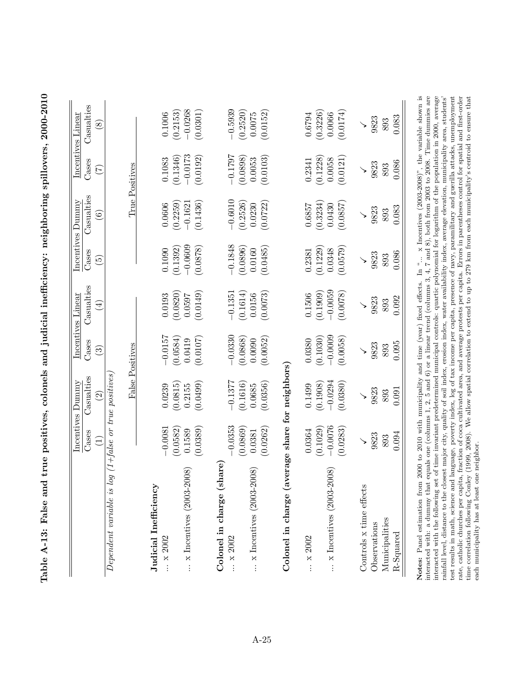|                                                 |                                | Incentives Dummy                        |                                   | Incentives Linear              |                                   | Incentives Dummy                  |                                    | Incentives Linear                 |
|-------------------------------------------------|--------------------------------|-----------------------------------------|-----------------------------------|--------------------------------|-----------------------------------|-----------------------------------|------------------------------------|-----------------------------------|
|                                                 | Cases                          | Casualties<br>$\overline{\mathcal{S}}$  | Cases<br>$\widetilde{\mathbb{C}}$ | Casualties<br>$\bigoplus$      | Cases<br>ق                        | Casualties<br>$\widehat{\circ}$   | Cases<br>$\widetilde{\mathcal{L}}$ | Casualties<br>$\infty$            |
| $Dependent\ variable\ is\ loq$                  |                                | $(1 + false \text{ or true } postives)$ |                                   |                                |                                   |                                   |                                    |                                   |
|                                                 |                                |                                         | False Positives                   |                                |                                   |                                   | True Positives                     |                                   |
| Judicial Inefficiency<br>$\ldots$ x 2002        | $-0.0081$                      | 0.0239                                  | $-0.0157$                         | 0.0193                         | 0.1090                            | 0.0606                            | 0.1083                             | 0.1006                            |
| $\ldots$ x Incentives (2003-2008)               | (0.0389)<br>(0.0582)<br>0.1589 | (0.0499)<br>(0.0815)<br>0.2155          | (0.0584)<br>(0.0107)<br>0.0419    | (0.0820)<br>(0.0149)<br>0.0597 | $-0.0609$<br>(0.1392)<br>(0.0878) | (0.2259)<br>(0.1436)<br>$-0.1621$ | $-0.0173$<br>(0.0192)<br>(0.1346)  | $-0.0268$<br>(0.2153)<br>(0.0301) |
| Colonel in charge (share<br>$\therefore$ x 2002 | $-0.0353$                      | $-0.1377$                               | $-0.0330$                         | $-0.1351$                      | $-0.1848$                         | $-0.6010$                         | $-0.1797$                          | $-0.5939$                         |
| $\ldots$ x Incentives (2003-2008)               | (0.0869)<br>(0.0262)<br>0.0381 | (0.1616)<br>(0.0356)<br>0.0685          | (0.0868)<br>(0.0052)<br>0.0090    | (0.1614)<br>(0.0073)<br>0.0156 | 0.0896<br>(0.0485)<br>0.0160      | (0.0722)<br>(0.2526)<br>0.0230    | (0.0898)<br>(0.0103)<br>0.0053     | (0.2520)<br>(0.0152)<br>0.0075    |
| Colonel in charge (average share for neighbors) |                                |                                         |                                   |                                |                                   |                                   |                                    |                                   |
| x 2002                                          | (0.1029)<br>0.0364             | (0.1908)<br>0.1499                      | (0.1030)<br>0.0380                | (0.1909)<br>0.1506             | (0.1229)<br>0.2381                | (0.3234)<br>0.6857                | (0.1228)<br>0.2341                 | (0.3226)<br>0.6794                |
| $\ldots$ x Incentives (2003-2008)               | $-0.0076$<br>(0.0283)          | $-0.0294$<br>(0.0380)                   | $-0.0009$<br>(0.0058)             | $-0.0059$<br>(0.0078)          | 0.0579<br>0.0348                  | (0.0857)<br>0.0430                | 0.0058<br>(0.0121)                 | (0.0174)<br>0.0066                |
| Controls x time effects                         |                                |                                         |                                   |                                |                                   |                                   |                                    | ↘                                 |
| Observations                                    | 9823                           | 9823                                    | 9823                              | 9823                           | 9823                              | 9823                              | 9823                               | 9823                              |
| Municipalities<br>R-Squared                     | 0.094<br>893                   | 0.091<br>893                            | 0.095<br>893                      | 0.092<br>893                   | 0.086<br>893                      | 0.083<br>893                      | 0.086<br>893                       | 0.083<br>893                      |

Table A-13: False and true positives, colonels and judicial inefficiency: neighboring spillovers, 2000-2010 Table A-13: False and true positives, colonels and judicial inefficiency: neighboring spillovers, 2000-2010

interacted with: a dumny that equals one (columns 1, 2, 5 and 6) or a linear trend (columns 3, 4, 7 and 8), both from 2003 to 2008. Time dumnies are interacted with: a dumny that equals one (columns 1, 2, 5 and 6) or a li Notes: Panel estimation from 2000 to 2010 with municipality and time (year) fixed effects. In "... x Incentives (2003-2008)", the variable shown is rate, catholic churches per capita, fraction of coca cultivated area, and average protests per capita. Errors in parentheses control for spatial and first-order time correlation following Conley (1999, 2008). We allow spa test results in math, science and language, poverty index, log of tax income per capita, presence of navy, paramilitary and guerilla attacks, unemployment Notes: Panel estimation from 2000 to 2010 with municipality and time (year) fixed effects. In "... x Incentives (2003-2008)", the variable shown is interacted with: a dummy that equals one (columns 1, 2, 5 and 6) or a linear trend (columns 3, 4, 7 and 8), both from 2003 to 2008. Time dummies are interacted with the following set of time invariant predetermined municipal controls: quartic polynomial for logarithm of the population in 2000, average rate, catholic churches per capita, fraction of coca cultivated area, and average protests per capita. Errors in parentheses control for spatial and first-order rainfall level, distance to the closest major city, quality of soil index, erosion index, water availability index, average elevation, municipality area, students' test results in math, science and language, poverty index, log of tax income per capita, presence of navy, paramilitary and guerilla attacks, unemployment time correlation following Conley (1999, 2008). We allow spatial correlation to extend to up to 279 km from each municipality's centroid to ensure that each municipality has at least one neighbor. each municipality has at least one neighbor.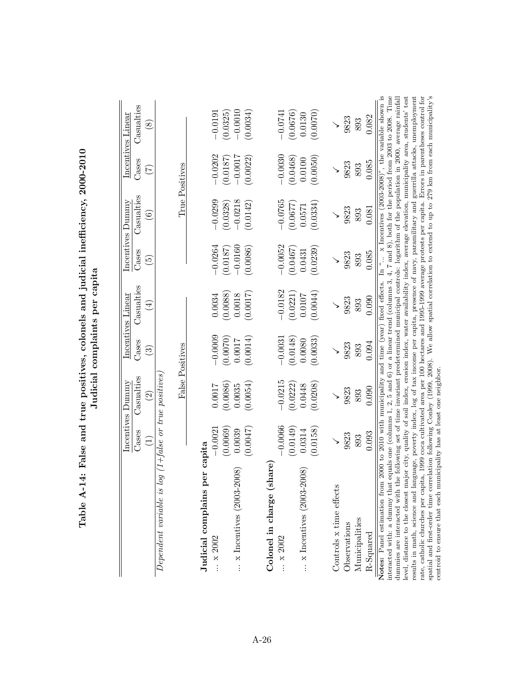|                                                                                                                                                                                                                                                                                                                                                                                                                                                                                                                                                                                                                                           |                    | Incentives Dummy                         |                                   | Incentives Linear         |                                   | Incentives Dummy                |                       | Incentives Linear                        |
|-------------------------------------------------------------------------------------------------------------------------------------------------------------------------------------------------------------------------------------------------------------------------------------------------------------------------------------------------------------------------------------------------------------------------------------------------------------------------------------------------------------------------------------------------------------------------------------------------------------------------------------------|--------------------|------------------------------------------|-----------------------------------|---------------------------|-----------------------------------|---------------------------------|-----------------------|------------------------------------------|
|                                                                                                                                                                                                                                                                                                                                                                                                                                                                                                                                                                                                                                           | Cases              | Casualties<br>$\widetilde{\Omega}$       | Cases<br>$\widetilde{\mathbb{C}}$ | Casualties<br>$\bigoplus$ | Cases<br>$\widetilde{\mathbb{G}}$ | Casualties<br>$\widehat{\odot}$ | Cases<br>E            | Casualties<br>$\overset{\infty}{\infty}$ |
| $Dependent\ variable\ is\ loq$                                                                                                                                                                                                                                                                                                                                                                                                                                                                                                                                                                                                            |                    | $(1 + false \text{ or true } positions)$ |                                   |                           |                                   |                                 |                       |                                          |
|                                                                                                                                                                                                                                                                                                                                                                                                                                                                                                                                                                                                                                           |                    |                                          | False Positives                   |                           |                                   |                                 | True Positives        |                                          |
| Judicial complains per capita<br>x 2002                                                                                                                                                                                                                                                                                                                                                                                                                                                                                                                                                                                                   | $-0.002$           | 0.0017                                   | $-0.0009$                         | 0.0034                    | $-0.0264$                         | $-0.0299$                       | $-0.0202$             | $-0.0191$                                |
| $\ldots$ x Incentives (2003-2008)                                                                                                                                                                                                                                                                                                                                                                                                                                                                                                                                                                                                         | (0.0069)<br>0.0039 | (0.0086)<br>0.0035                       | (0.0070)<br>0.0017                | (0.0088)<br>0.0018        | $-0.0160$<br>(0.0187)             | $-0.0218$<br>(0.0328)           | $-0.0017$<br>(0.0187) | $-0.0010$<br>(0.0325)                    |
|                                                                                                                                                                                                                                                                                                                                                                                                                                                                                                                                                                                                                                           | (0.0047)           | (0.0054)                                 | (0.0014)                          | (0.0017)                  | (0.0086)                          | (0.0142)                        | (0.0022)              | (0.0034)                                 |
| Colonel in charge (share)                                                                                                                                                                                                                                                                                                                                                                                                                                                                                                                                                                                                                 |                    |                                          |                                   |                           |                                   |                                 |                       |                                          |
| $\ldots \times 2002$                                                                                                                                                                                                                                                                                                                                                                                                                                                                                                                                                                                                                      | $-0.0066$          | $-0.0215$                                | $-0.0031$                         | $-0.0182$                 | $-0.0052$                         | $-0.0765$                       | $-0.0030$             | $-0.0741$                                |
|                                                                                                                                                                                                                                                                                                                                                                                                                                                                                                                                                                                                                                           | (0.0149)           | (0.0222)                                 | (0.0148)                          | (0.0221)                  | (0.0467)                          | (0.0677)                        | (0.0468)              | (0.0676)                                 |
| $\ldots$ x Incentives (2003-2008)                                                                                                                                                                                                                                                                                                                                                                                                                                                                                                                                                                                                         | 0.0314             | 0.0448                                   | 0.0080                            | 10107                     | 0.0431                            | 0.0571                          | 0.0100                | 0.0130                                   |
|                                                                                                                                                                                                                                                                                                                                                                                                                                                                                                                                                                                                                                           | (0.0158)           | (0.0208)                                 | (0.0033)                          | (0.0044)                  | (0.0239)                          | (0.0334)                        | (0.0050)              | (0.0070)                                 |
| Controls x time effects                                                                                                                                                                                                                                                                                                                                                                                                                                                                                                                                                                                                                   |                    |                                          |                                   |                           |                                   |                                 |                       |                                          |
| Observations                                                                                                                                                                                                                                                                                                                                                                                                                                                                                                                                                                                                                              | 9823               | 9823                                     | 9823                              | 9823                      | 9823                              | 9823                            | 9823                  | 9823                                     |
| Municipalities                                                                                                                                                                                                                                                                                                                                                                                                                                                                                                                                                                                                                            | 893                | 893                                      | 893                               | 893                       | 893                               | 893                             | 893                   | 893                                      |
| R-Squared                                                                                                                                                                                                                                                                                                                                                                                                                                                                                                                                                                                                                                 | 0.093              | 0.090                                    | 0.094                             | 0.090                     | 0.085                             | 0.081                           | 0.085                 | 0.082                                    |
| interacted with: a dummy that equals one (columns 1, 2, 5 and 6) or a linear trend (columns 3, 4, 7 and 8), both for the period from 2003 to 2008. Time<br>Notes: Panel estimation from 2000 to 2010 with municipality and time (year) fixed effects. In " x Incentives (2003-2008)", the variable shown is<br>level, distance to the closest major city, quality of soil index, erosion index, water availability index, average elevation, municipality area, students' test<br>dummies are interacted with the following set of time invariant predetermined municipal controls: logarithm of the population in 2000, average rainfall |                    |                                          |                                   |                           |                                   |                                 |                       |                                          |
| results in math, science and language, poverty index, log of tax income per capita, presence of navy, paramilitary and guerrilla attacks, unemployment<br>rate, catholic churches per capita, 1999 coca cultivated area per 100 hectares and 1995-1999 average protests per capita. Errors in parentheses control for                                                                                                                                                                                                                                                                                                                     |                    |                                          |                                   |                           |                                   |                                 |                       |                                          |
| spatial and first-order time correlation following Conley (1999, 2008). We allow spatial correlation to extend to up to 279 km from each municipality's<br>centroid to ensure that each municipality has at least one neighbor                                                                                                                                                                                                                                                                                                                                                                                                            |                    |                                          |                                   |                           |                                   |                                 |                       |                                          |
|                                                                                                                                                                                                                                                                                                                                                                                                                                                                                                                                                                                                                                           |                    |                                          |                                   |                           |                                   |                                 |                       |                                          |

Table A-14: False and true positives, colonels and judicial inefficiency, 2000-2010 Table A-14: False and true positives, colonels and judicial inefficiency, 2000-2010 Judicial complaints per capita Judicial complaints per capita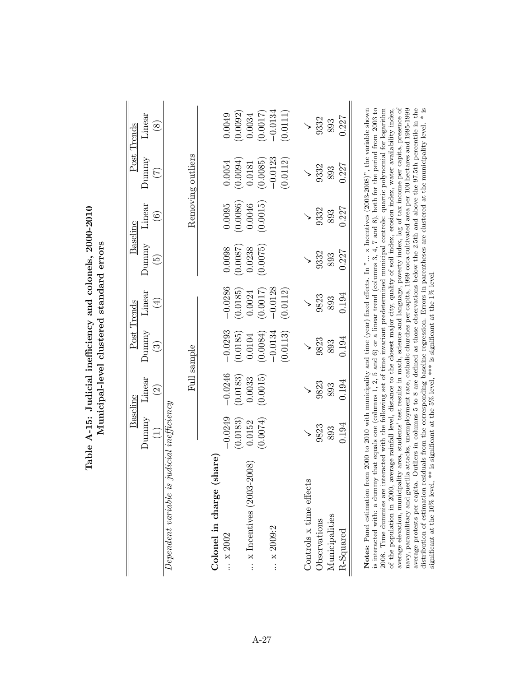|                                                                                                                                                                                                                                                                                                                                                                                                                                                                                                                                                                                                                                                                                                                                                                                                                                                                                                                                                                                                                                                             |                              | Baseline             |                          | Post Trends |                          | Baseline          |                                                                                                                                                                                                                                                    | Post Trends   |
|-------------------------------------------------------------------------------------------------------------------------------------------------------------------------------------------------------------------------------------------------------------------------------------------------------------------------------------------------------------------------------------------------------------------------------------------------------------------------------------------------------------------------------------------------------------------------------------------------------------------------------------------------------------------------------------------------------------------------------------------------------------------------------------------------------------------------------------------------------------------------------------------------------------------------------------------------------------------------------------------------------------------------------------------------------------|------------------------------|----------------------|--------------------------|-------------|--------------------------|-------------------|----------------------------------------------------------------------------------------------------------------------------------------------------------------------------------------------------------------------------------------------------|---------------|
|                                                                                                                                                                                                                                                                                                                                                                                                                                                                                                                                                                                                                                                                                                                                                                                                                                                                                                                                                                                                                                                             | Dunnny                       | Linear               | Dunnny                   | Linear      | Dunnny                   | Linear            | Dunnny                                                                                                                                                                                                                                             | Linear        |
|                                                                                                                                                                                                                                                                                                                                                                                                                                                                                                                                                                                                                                                                                                                                                                                                                                                                                                                                                                                                                                                             |                              | $\widetilde{\omega}$ | $\widetilde{\mathbb{C}}$ | $\bigoplus$ | $\widetilde{\mathbf{5}}$ | $\widehat{\circ}$ | E                                                                                                                                                                                                                                                  | $\circledast$ |
| Dependent variable is                                                                                                                                                                                                                                                                                                                                                                                                                                                                                                                                                                                                                                                                                                                                                                                                                                                                                                                                                                                                                                       | $judical\,\,in\!\,fficiency$ |                      |                          |             |                          |                   |                                                                                                                                                                                                                                                    |               |
|                                                                                                                                                                                                                                                                                                                                                                                                                                                                                                                                                                                                                                                                                                                                                                                                                                                                                                                                                                                                                                                             |                              |                      | Full sample              |             |                          |                   | Removing outliers                                                                                                                                                                                                                                  |               |
| share <sup>1</sup><br>Colonel in charge                                                                                                                                                                                                                                                                                                                                                                                                                                                                                                                                                                                                                                                                                                                                                                                                                                                                                                                                                                                                                     |                              |                      |                          |             |                          |                   |                                                                                                                                                                                                                                                    |               |
| $\therefore$ x 2002                                                                                                                                                                                                                                                                                                                                                                                                                                                                                                                                                                                                                                                                                                                                                                                                                                                                                                                                                                                                                                         | $-0.0249$                    | $-0.0246$            | $-0.0293$                | $-0.0286$   | 0.0098                   | 0.0095            | 0.0054                                                                                                                                                                                                                                             | 0.0049        |
|                                                                                                                                                                                                                                                                                                                                                                                                                                                                                                                                                                                                                                                                                                                                                                                                                                                                                                                                                                                                                                                             | (0.0183)                     | (0.0183)             | (0.0185)                 | (0.0185)    | (0.0087)                 | (0.0086)          | (0.0094)                                                                                                                                                                                                                                           | (0.0092)      |
| $\ldots$ x Incentives (2003-2008)                                                                                                                                                                                                                                                                                                                                                                                                                                                                                                                                                                                                                                                                                                                                                                                                                                                                                                                                                                                                                           | 0.0152                       | 0.0033               | 0.0104                   | 0.0024      | 0.0238                   | 0.0046            | 0.0181                                                                                                                                                                                                                                             | 0.0034        |
|                                                                                                                                                                                                                                                                                                                                                                                                                                                                                                                                                                                                                                                                                                                                                                                                                                                                                                                                                                                                                                                             | (0.0074)                     | (0.0015)             | (0.0084)                 | (0.0017)    | (0.0075)                 | (0.0015)          | (0.0085)                                                                                                                                                                                                                                           | (0.0017)      |
| x 2009:2                                                                                                                                                                                                                                                                                                                                                                                                                                                                                                                                                                                                                                                                                                                                                                                                                                                                                                                                                                                                                                                    |                              |                      | $-0.0134$                | $-0.0128$   |                          |                   | $-0.0123$                                                                                                                                                                                                                                          | $-0.0134$     |
|                                                                                                                                                                                                                                                                                                                                                                                                                                                                                                                                                                                                                                                                                                                                                                                                                                                                                                                                                                                                                                                             |                              |                      | (0.0113)                 | (0.0112)    |                          |                   | (0.0112)                                                                                                                                                                                                                                           | (0.0111)      |
| Controls x time effects                                                                                                                                                                                                                                                                                                                                                                                                                                                                                                                                                                                                                                                                                                                                                                                                                                                                                                                                                                                                                                     |                              |                      |                          |             |                          |                   |                                                                                                                                                                                                                                                    |               |
| Observations                                                                                                                                                                                                                                                                                                                                                                                                                                                                                                                                                                                                                                                                                                                                                                                                                                                                                                                                                                                                                                                | 9823                         | 9823                 | 9823                     | 9823        | 9332                     | 9332              | 9332                                                                                                                                                                                                                                               | 9332          |
| Municipalities                                                                                                                                                                                                                                                                                                                                                                                                                                                                                                                                                                                                                                                                                                                                                                                                                                                                                                                                                                                                                                              | 893                          | 893                  | 893                      | 893         | 893                      | 893               | 893                                                                                                                                                                                                                                                | 893           |
| R-Squared                                                                                                                                                                                                                                                                                                                                                                                                                                                                                                                                                                                                                                                                                                                                                                                                                                                                                                                                                                                                                                                   | 0.194                        | 0.194                | 0.194                    | 0.194       | 0.227                    | 0.227             | 0.227                                                                                                                                                                                                                                              | 0.227         |
| average elevation, municipality area, students' test results in math, science and language, poverty index, log of tax income per capita, presence of<br>distribution of estimation residuals from the corresponding baseline regression. Errors in parentheses are clustered at the municipality level. * is significant at the 10% level, ** is significant at the 15% level.<br>Notes: Panel estimation from 2000 to 2010 with municipality and time (year) fixed effects. In $"$ x Incentives $(2003-2008)"$ , the variable shown<br>is interacted with: a dummy that equals one (columns 1, 2, 5 and 6) or a linear trend (columns 3, 4, 7 and 8), both for the period from 2003 to<br>2008. Time dummies are interacted with the following set of time invariant predetermined municipal controls: quartic polynomial for logarithm<br>navy, paramilitary and guerilla attacks, unemployment rate, catholic churches per capita, 1999 coca cultivated area per 100 hectares and 1995-1999<br>average protests per capita<br>of the population in 2000, |                              |                      |                          |             |                          |                   | Outliers in columns 5 to 8 are defined as those observations below the 2.5th and above the 97.5th percentile in the<br>average rainfall level, distance to the closest major city, quality of soil index, erosion index, water availability index, |               |

Table A-15: Judicial inefficiency and colonels, 2000-2010 Table A-15: Judicial inefficiency and colonels, 2000-2010 Municipal-level clustered standard errors Municipal-level clustered standard errors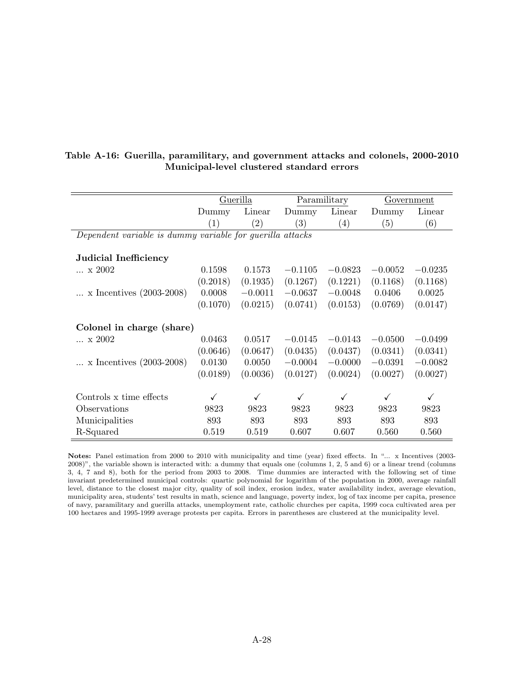|                                                           |          | Guerilla          |                   | Paramilitary      |           | Government |
|-----------------------------------------------------------|----------|-------------------|-------------------|-------------------|-----------|------------|
|                                                           | Dummy    | Linear            | Dummy             | Linear            | Dummy     | Linear     |
|                                                           | (1)      | $\left( 2\right)$ | $\left( 3\right)$ | $\left( 4\right)$ | (5)       | (6)        |
| Dependent variable is dummy variable for guerilla attacks |          |                   |                   |                   |           |            |
|                                                           |          |                   |                   |                   |           |            |
| Judicial Inefficiency                                     |          |                   |                   |                   |           |            |
| $\ldots$ x 2002                                           | 0.1598   | 0.1573            | $-0.1105$         | $-0.0823$         | $-0.0052$ | $-0.0235$  |
|                                                           | (0.2018) | (0.1935)          | (0.1267)          | (0.1221)          | (0.1168)  | (0.1168)   |
| x Incentives $(2003-2008)$                                | 0.0008   | $-0.0011$         | $-0.0637$         | $-0.0048$         | 0.0406    | 0.0025     |
|                                                           | (0.1070) | (0.0215)          | (0.0741)          | (0.0153)          | (0.0769)  | (0.0147)   |
|                                                           |          |                   |                   |                   |           |            |
| Colonel in charge (share)                                 |          |                   |                   |                   |           |            |
| $\ldots \times 2002$                                      | 0.0463   | 0.0517            | $-0.0145$         | $-0.0143$         | $-0.0500$ | $-0.0499$  |
|                                                           | (0.0646) | (0.0647)          | (0.0435)          | (0.0437)          | (0.0341)  | (0.0341)   |
| x Incentives $(2003-2008)$                                | 0.0130   | 0.0050            | $-0.0004$         | $-0.0000$         | $-0.0391$ | $-0.0082$  |
|                                                           | (0.0189) | (0.0036)          | (0.0127)          | (0.0024)          | (0.0027)  | (0.0027)   |
|                                                           |          |                   |                   |                   |           |            |
| Controls x time effects                                   | ✓        | ✓                 | ✓                 | $\checkmark$      | ✓         | ✓          |
| Observations                                              | 9823     | 9823              | 9823              | 9823              | 9823      | 9823       |
| Municipalities                                            | 893      | 893               | 893               | 893               | 893       | 893        |
| R-Squared                                                 | 0.519    | 0.519             | 0.607             | 0.607             | 0.560     | 0.560      |

Table A-16: Guerilla, paramilitary, and government attacks and colonels, 2000-2010 Municipal-level clustered standard errors

Notes: Panel estimation from 2000 to 2010 with municipality and time (year) fixed effects. In "... x Incentives (2003- 2008)", the variable shown is interacted with: a dummy that equals one (columns 1, 2, 5 and 6) or a linear trend (columns 3, 4, 7 and 8), both for the period from 2003 to 2008. Time dummies are interacted with the following set of time invariant predetermined municipal controls: quartic polynomial for logarithm of the population in 2000, average rainfall level, distance to the closest major city, quality of soil index, erosion index, water availability index, average elevation, municipality area, students' test results in math, science and language, poverty index, log of tax income per capita, presence of navy, paramilitary and guerilla attacks, unemployment rate, catholic churches per capita, 1999 coca cultivated area per 100 hectares and 1995-1999 average protests per capita. Errors in parentheses are clustered at the municipality level.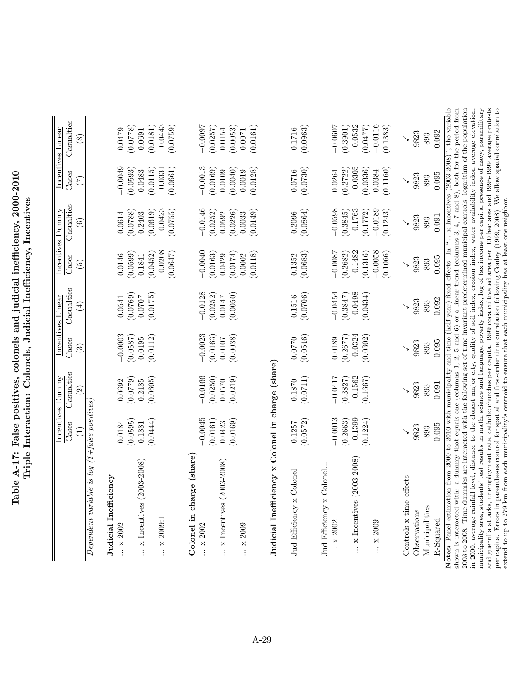| nnn nnn<br>icial inafficiano<br> <br> <br> <br>s and judi<br>$\sim$ colone.                                                                                         | ٦<br>Colonels. I |
|---------------------------------------------------------------------------------------------------------------------------------------------------------------------|------------------|
| $\overline{r}$ $\overline{r}$ $\overline{u}$ $\overline{u}$ $\overline{u}$ $\overline{u}$ $\overline{u}$ $\overline{u}$ $\overline{u}$<br>$\frac{1}{2}$<br>Table A. | ļ                |

|                                                                                                                                                                                                                                                                                                                                                                                                                                                                                                                                                    | Cases                 | <b>Casualties</b>                                                            | Cases                    | Casualties            | Cases                             | Casualties                     | Cases                             | Casualties                                                                                                                                                                                                                                                                                             |
|----------------------------------------------------------------------------------------------------------------------------------------------------------------------------------------------------------------------------------------------------------------------------------------------------------------------------------------------------------------------------------------------------------------------------------------------------------------------------------------------------------------------------------------------------|-----------------------|------------------------------------------------------------------------------|--------------------------|-----------------------|-----------------------------------|--------------------------------|-----------------------------------|--------------------------------------------------------------------------------------------------------------------------------------------------------------------------------------------------------------------------------------------------------------------------------------------------------|
|                                                                                                                                                                                                                                                                                                                                                                                                                                                                                                                                                    | Ξ                     | $\widehat{\mathfrak{D}}$                                                     | $\widetilde{\mathbb{C}}$ | $(\pm)$               | $\widetilde{\mathfrak{G}}$        | $\widehat{\mathbf{e}}$         | E                                 | $\infty$                                                                                                                                                                                                                                                                                               |
| $Dependent\ variable\ is\ log\ (1+false\ positions)$                                                                                                                                                                                                                                                                                                                                                                                                                                                                                               |                       |                                                                              |                          |                       |                                   |                                |                                   |                                                                                                                                                                                                                                                                                                        |
| Judicial Inefficiency<br>$\ldots$ x 2002                                                                                                                                                                                                                                                                                                                                                                                                                                                                                                           | 0.0184                | 0.0692                                                                       | $-0.0003$                | 0.0541                | 0.0146                            | 0.0614                         | $-0.0049$                         | 0.0479                                                                                                                                                                                                                                                                                                 |
| $\ldots$ x Incentives (2003-2008)                                                                                                                                                                                                                                                                                                                                                                                                                                                                                                                  | (0.0595)<br>0.1881    | (6220.0)<br>0.2485                                                           | (0.0587)<br>0.0495       | (0.0769)<br>0.0707    | (0.0599)<br>0.1841                | (0.0619)<br>(0.0788)<br>0.2403 | (0.0593)<br>0.0483                | (0.0778)<br>(0.0181)<br>0.0691                                                                                                                                                                                                                                                                         |
| $\ldots$ x 2009:1                                                                                                                                                                                                                                                                                                                                                                                                                                                                                                                                  | (0.0444)              | (0.0605)                                                                     | (0.0112)                 | (0.0175)              | $-0.0208$<br>(0.0647)<br>(0.0452) | $-0.0423$<br>(0.0755)          | (0.0661)<br>$-0.0331$<br>(0.0115) | $-0.0443$<br>(0.0759)                                                                                                                                                                                                                                                                                  |
| Colonel in charge (share)<br>$\ldots$ x 2002                                                                                                                                                                                                                                                                                                                                                                                                                                                                                                       | $-0.0045$             | $-0.0166$                                                                    | $-0.0023$                | $-0.0128$             | $-0.0040$                         | $-0.0146$                      | $-0.0013$                         | $-0.0097$                                                                                                                                                                                                                                                                                              |
| $\ldots$ x Incentives (2003-2008)                                                                                                                                                                                                                                                                                                                                                                                                                                                                                                                  | (0.0161)<br>0.0423    | (0.0250)<br>0.0570                                                           | (0.0163)<br>0.0107       | (0.0252)<br>0.0147    | (0.0163)<br>0.0429                | (0.0252)<br>0.0592             | (0.0169)<br>0.0109                | (0.0257)<br>0.0154                                                                                                                                                                                                                                                                                     |
| x 2009                                                                                                                                                                                                                                                                                                                                                                                                                                                                                                                                             | (0.0169)              | (0.0219)                                                                     | (0.0038)                 | (0.0050)              | (0.0174)<br>(0.0118)<br>0.0002    | (0.0149)<br>(0.0226)<br>0.0033 | (0.0040)<br>(0.0128)<br>0.0019    | (0.0053)<br>(0.0161)<br>0.0071                                                                                                                                                                                                                                                                         |
| Judicial Inefficiency x Colonel in charge (share)                                                                                                                                                                                                                                                                                                                                                                                                                                                                                                  |                       |                                                                              |                          |                       |                                   |                                |                                   |                                                                                                                                                                                                                                                                                                        |
| Jud Efficiency x Colonel                                                                                                                                                                                                                                                                                                                                                                                                                                                                                                                           | 0.1257                | 0.1870                                                                       | 0.0770                   | 0.1516                | 0.1352                            | 0.2096                         | 0.0716                            | 0.1716                                                                                                                                                                                                                                                                                                 |
|                                                                                                                                                                                                                                                                                                                                                                                                                                                                                                                                                    | (0.0572)              | (0.0711)                                                                     | (0.0546)                 | (0.0706)              | (0.0683)                          | (0.0864)                       | (0.0730)                          | (0.0963)                                                                                                                                                                                                                                                                                               |
| Jud Efficiency x Colonel                                                                                                                                                                                                                                                                                                                                                                                                                                                                                                                           |                       |                                                                              |                          |                       |                                   |                                |                                   |                                                                                                                                                                                                                                                                                                        |
| $\ldots$ x 2002                                                                                                                                                                                                                                                                                                                                                                                                                                                                                                                                    | $-0.0013$<br>(0.2663) | $-0.0417$<br>(0.3827)                                                        | (0.2677)<br>0.0189       | $-0.0454$<br>(0.3847) | $-0.0087$<br>(0.2682)             | $-0.0598$<br>(0.3845)          | (0.2722)<br>0.0264                | $-0.0607$<br>(0.3901)                                                                                                                                                                                                                                                                                  |
| $\ldots$ x Incentives (2003-2008)                                                                                                                                                                                                                                                                                                                                                                                                                                                                                                                  | $-0.1399$<br>(0.1224) | $-0.1562$<br>(0.1667)                                                        | $-0.0324$<br>(0.0302)    | $-0.0498$<br>(0.0434) | $-0.1482$<br>(0.1316)             | $-0.1763$<br>(0.1772)          | $-0.0305$<br>(0.0336)             | $-0.0532$<br>(0.0477)                                                                                                                                                                                                                                                                                  |
| $\ldots$ $\times$ 2009                                                                                                                                                                                                                                                                                                                                                                                                                                                                                                                             |                       |                                                                              |                          |                       | $-0.0058$<br>(0.1066)             | $-0.0189$<br>(0.1243)          | (0.1160)<br>0.0384                | $-0.0116$<br>(0.1383)                                                                                                                                                                                                                                                                                  |
| Controls x time effects                                                                                                                                                                                                                                                                                                                                                                                                                                                                                                                            | $\checkmark$          | $\checkmark$                                                                 | $\checkmark$             | $\checkmark$          | $\checkmark$                      | $\checkmark$                   | ↘                                 | $\checkmark$                                                                                                                                                                                                                                                                                           |
| Observations                                                                                                                                                                                                                                                                                                                                                                                                                                                                                                                                       | 9823                  | 9823                                                                         | 9823                     | 9823                  | 9823                              | 9823                           | 9823                              | 9823                                                                                                                                                                                                                                                                                                   |
| Municipalities                                                                                                                                                                                                                                                                                                                                                                                                                                                                                                                                     | 893                   | 893                                                                          | 893                      | 893                   | 893                               | 893                            | 893                               | 893                                                                                                                                                                                                                                                                                                    |
| R-Squared                                                                                                                                                                                                                                                                                                                                                                                                                                                                                                                                          | 0.095                 | 0.091                                                                        | 0.095                    | 0.092                 | 0.095                             | 0.091                          | 0.095                             | 0.092                                                                                                                                                                                                                                                                                                  |
| and guerrilla attacks, unemployment rate, catholic churches per capita, 1999 coca cultivated area per 100 hectares and 1995-1999 average protests<br>2003 to 2008. Time dummies are interacted with the following set of time invariant predetermined municipal controls: logarithm of the population<br>municipality area, students' test results in math, science and language, poverty index, log of tax income per capita, presence of navy, paramilitary<br>Notes: Panel estimation<br>shown is interacted with:<br>in 2000, average rainfall |                       | from 2000 to 2010 with municipality and time (half-year) fixed effects. In " |                          |                       |                                   |                                |                                   | $\times$ Incentives (2003-2008)", the variable<br>a dummy that equals one (columns 1, 2, 5 and 6) or a linear trend (columns 3, 4, 7 and 8), both for the period from<br>level, distance to the closest major city, quality of soil index, erosion index, water availability index, average elevation, |